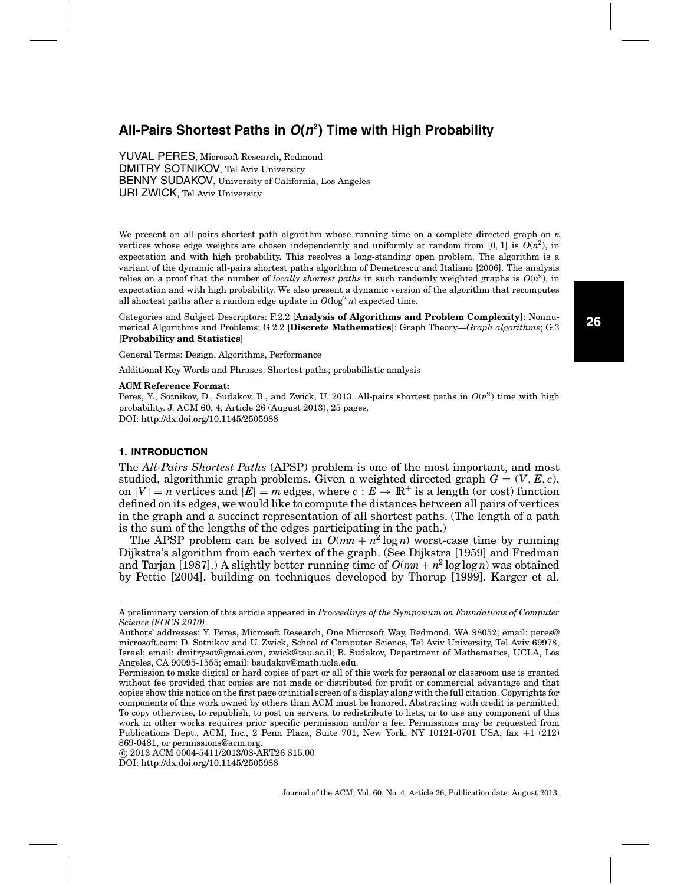# **All-Pairs Shortest Paths in O(n2) Time with High Probability**

YUVAL PERES, Microsoft Research, Redmond DMITRY SOTNIKOV, Tel Aviv University BENNY SUDAKOV, University of California, Los Angeles URI ZWICK, Tel Aviv University

We present an all-pairs shortest path algorithm whose running time on a complete directed graph on *n* vertices whose edge weights are chosen independently and uniformly at random from [0, 1] is  $O(n^2)$ , in expectation and with high probability. This resolves a long-standing open problem. The algorithm is a variant of the dynamic all-pairs shortest paths algorithm of Demetrescu and Italiano [2006]. The analysis relies on a proof that the number of *locally shortest paths* in such randomly weighted graphs is  $O(n^2)$ , in expectation and with high probability. We also present a dynamic version of the algorithm that recomputes all shortest paths after a random edge update in  $O(\log^2 n)$  expected time.

Categories and Subject Descriptors: F.2.2 [**Analysis of Algorithms and Problem Complexity**]: Nonnumerical Algorithms and Problems; G.2.2 [**Discrete Mathematics**]: Graph Theory—*Graph algorithms*; G.3 [**Probability and Statistics**]

General Terms: Design, Algorithms, Performance

Additional Key Words and Phrases: Shortest paths; probabilistic analysis

#### **ACM Reference Format:**

Peres, Y., Sotnikov, D., Sudakov, B., and Zwick, U. 2013. All-pairs shortest paths in *O*(*n*2) time with high probability. J. ACM 60, 4, Article 26 (August 2013), 25 pages. DOI: http://dx.doi.org/10.1145/2505988

# **1. INTRODUCTION**

The *All-Pairs Shortest Paths* (APSP) problem is one of the most important, and most studied, algorithmic graph problems. Given a weighted directed graph  $G = (V, E, c)$ , on  $|V| = n$  vertices and  $|E| = m$  edges, where  $c : E \to \mathbb{R}^+$  is a length (or cost) function defined on its edges, we would like to compute the distances between all pairs of vertices in the graph and a succinct representation of all shortest paths. (The length of a path is the sum of the lengths of the edges participating in the path.)

The APSP problem can be solved in  $O(mn + n^2 \log n)$  worst-case time by running Dijkstra's algorithm from each vertex of the graph. (See Dijkstra [1959] and Fredman and Tarjan [1987].) A slightly better running time of  $O(mn + n^2 \log \log n)$  was obtained by Pettie [2004], building on techniques developed by Thorup [1999]. Karger et al.

A preliminary version of this article appeared in *Proceedings of the Symposium on Foundations of Computer Science (FOCS 2010)*.

Authors' addresses: Y. Peres, Microsoft Research, One Microsoft Way, Redmond, WA 98052; email: peres@ microsoft.com; D. Sotnikov and U. Zwick, School of Computer Science, Tel Aviv University, Tel Aviv 69978, Israel; email: dmitrysot@gmai.com, zwick@tau.ac.il; B. Sudakov, Department of Mathematics, UCLA, Los Angeles, CA 90095-1555; email: bsudakov@math.ucla.edu.

Permission to make digital or hard copies of part or all of this work for personal or classroom use is granted without fee provided that copies are not made or distributed for profit or commercial advantage and that copies show this notice on the first page or initial screen of a display along with the full citation. Copyrights for components of this work owned by others than ACM must be honored. Abstracting with credit is permitted. To copy otherwise, to republish, to post on servers, to redistribute to lists, or to use any component of this work in other works requires prior specific permission and/or a fee. Permissions may be requested from Publications Dept., ACM, Inc., 2 Penn Plaza, Suite 701, New York, NY 10121-0701 USA, fax +1 (212) 869-0481, or permissions@acm.org.

<sup>-</sup>c 2013 ACM 0004-5411/2013/08-ART26 \$15.00

DOI: http://dx.doi.org/10.1145/2505988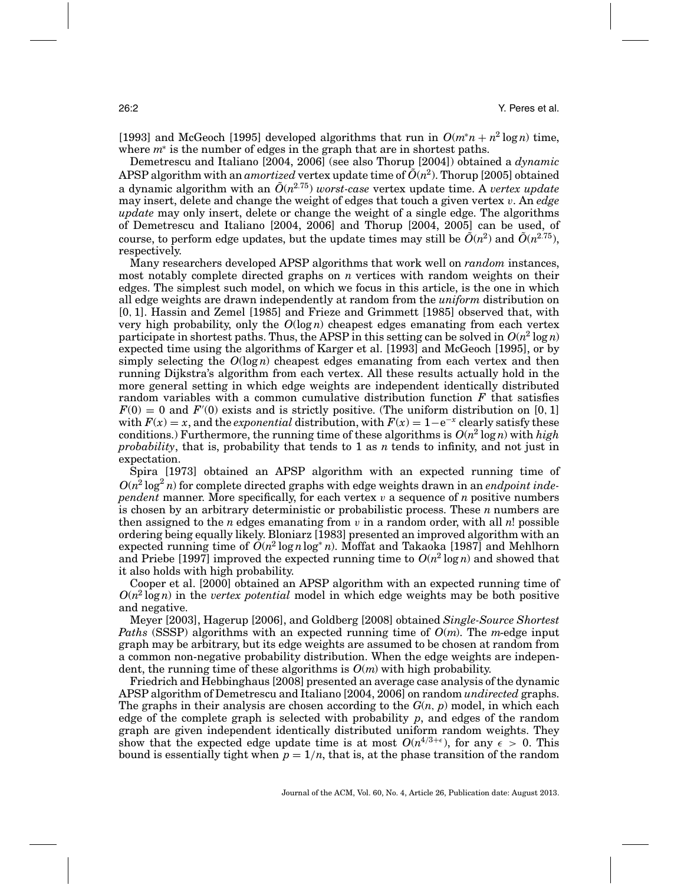[1993] and McGeoch [1995] developed algorithms that run in  $O(m^*n + n^2 \log n)$  time, where *m*<sup>∗</sup> is the number of edges in the graph that are in shortest paths.

Demetrescu and Italiano [2004, 2006] (see also Thorup [2004]) obtained a *dynamic* APSP algorithm with an *amortized* vertex update time of  $\tilde{O}(n^2)$ . Thorup [2005] obtained a dynamic algorithm with an  $\tilde{O}(n^{2.75})$  worst-case vertex update time. A *vertex update* may insert, delete and change the weight of edges that touch a given vertex v. An *edge update* may only insert, delete or change the weight of a single edge. The algorithms of Demetrescu and Italiano [2004, 2006] and Thorup [2004, 2005] can be used, of course, to perform edge updates, but the update times may still be  $\tilde{O}(n^2)$  and  $\tilde{O}(n^{2.75})$ . respectively.

Many researchers developed APSP algorithms that work well on *random* instances, most notably complete directed graphs on *n* vertices with random weights on their edges. The simplest such model, on which we focus in this article, is the one in which all edge weights are drawn independently at random from the *uniform* distribution on [0, 1]. Hassin and Zemel [1985] and Frieze and Grimmett [1985] observed that, with very high probability, only the  $O(\log n)$  cheapest edges emanating from each vertex participate in shortest paths. Thus, the APSP in this setting can be solved in  $O(n^2 \log n)$ expected time using the algorithms of Karger et al. [1993] and McGeoch [1995], or by simply selecting the  $O(\log n)$  cheapest edges emanating from each vertex and then running Dijkstra's algorithm from each vertex. All these results actually hold in the more general setting in which edge weights are independent identically distributed random variables with a common cumulative distribution function *F* that satisfies  $F(0) = 0$  and  $F'(0)$  exists and is strictly positive. (The uniform distribution on [0, 1] with  $F(x) = x$ , and the *exponential* distribution, with  $F(x) = 1 - e^{-x}$  clearly satisfy these conditions.) Furthermore, the running time of these algorithms is  $O(n^2 \log n)$  with *high probability*, that is, probability that tends to 1 as *n* tends to infinity, and not just in expectation.

Spira [1973] obtained an APSP algorithm with an expected running time of  $O(n^2 \log^2 n)$  for complete directed graphs with edge weights drawn in an *endpoint independent* manner. More specifically, for each vertex  $v$  a sequence of  $n$  positive numbers is chosen by an arbitrary deterministic or probabilistic process. These *n* numbers are then assigned to the *n* edges emanating from  $v$  in a random order, with all  $n!$  possible ordering being equally likely. Bloniarz [1983] presented an improved algorithm with an expected running time of  $O(n^2 \log n \log^* n)$ . Moffat and Takaoka [1987] and Mehlhorn and Priebe [1997] improved the expected running time to  $O(n^2 \log n)$  and showed that it also holds with high probability.

Cooper et al. [2000] obtained an APSP algorithm with an expected running time of  $O(n^2 \log n)$  in the *vertex potential* model in which edge weights may be both positive and negative.

Meyer [2003], Hagerup [2006], and Goldberg [2008] obtained *Single-Source Shortest Paths* (SSSP) algorithms with an expected running time of *O*(*m*). The *m*-edge input graph may be arbitrary, but its edge weights are assumed to be chosen at random from a common non-negative probability distribution. When the edge weights are independent, the running time of these algorithms is  $O(m)$  with high probability.

Friedrich and Hebbinghaus [2008] presented an average case analysis of the dynamic APSP algorithm of Demetrescu and Italiano [2004, 2006] on random *undirected* graphs. The graphs in their analysis are chosen according to the *G*(*n*, *p*) model, in which each edge of the complete graph is selected with probability *p*, and edges of the random graph are given independent identically distributed uniform random weights. They show that the expected edge update time is at most  $O(n^{4/3+\epsilon})$ , for any  $\epsilon > 0$ . This bound is essentially tight when  $p = 1/n$ , that is, at the phase transition of the random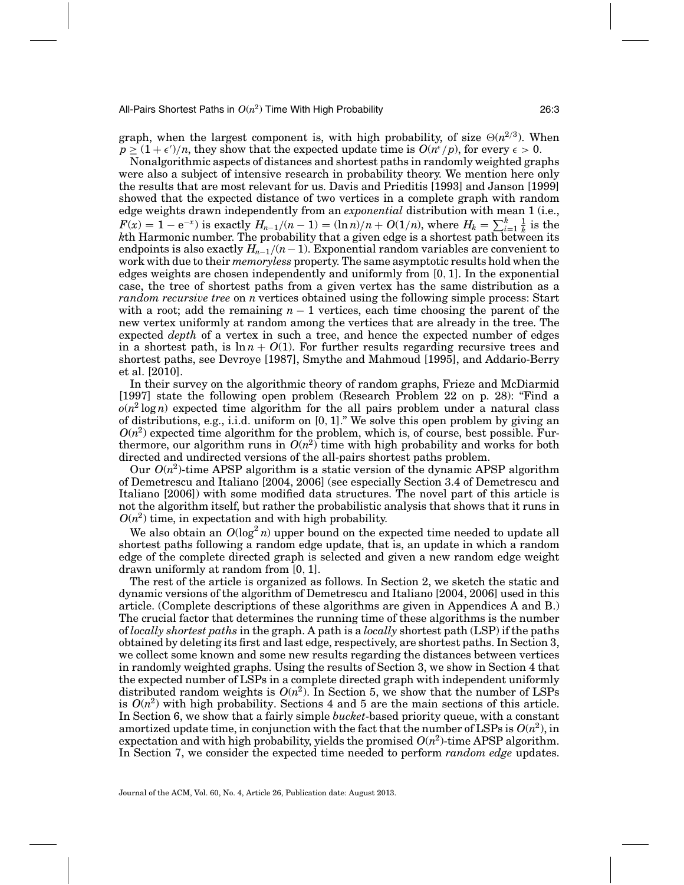graph, when the largest component is, with high probability, of size  $\Theta(n^{2/3})$ . When  $p \ge (1+\epsilon')/n$ , they show that the expected update time is  $O(n^{\epsilon}/p)$ , for every  $\epsilon > 0$ .

Nonalgorithmic aspects of distances and shortest paths in randomly weighted graphs were also a subject of intensive research in probability theory. We mention here only the results that are most relevant for us. Davis and Prieditis [1993] and Janson [1999] showed that the expected distance of two vertices in a complete graph with random edge weights drawn independently from an *exponential* distribution with mean 1 (i.e.,  $F(x) = 1 - e^{-x}$  is exactly  $H_{n-1}/(n-1) = (\ln n)/n + O(1/n)$ , where  $H_k = \sum_{i=1}^k \frac{1}{k}$  is the *k*th Harmonic number. The probability that a given edge is a shortest path between its endpoints is also exactly  $H_{n-1}/(n-1)$ . Exponential random variables are convenient to work with due to their *memoryless* property. The same asymptotic results hold when the edges weights are chosen independently and uniformly from [0, 1]. In the exponential case, the tree of shortest paths from a given vertex has the same distribution as a *random recursive tree* on *n* vertices obtained using the following simple process: Start with a root; add the remaining *n* − 1 vertices, each time choosing the parent of the new vertex uniformly at random among the vertices that are already in the tree. The expected *depth* of a vertex in such a tree, and hence the expected number of edges in a shortest path, is  $\ln n + O(1)$ . For further results regarding recursive trees and shortest paths, see Devroye [1987], Smythe and Mahmoud [1995], and Addario-Berry et al. [2010].

In their survey on the algorithmic theory of random graphs, Frieze and McDiarmid [1997] state the following open problem (Research Problem 22 on p. 28): "Find a  $o(n^2 \log n)$  expected time algorithm for the all pairs problem under a natural class of distributions, e.g., i.i.d. uniform on [0, 1]." We solve this open problem by giving an  $O(n^2)$  expected time algorithm for the problem, which is, of course, best possible. Furthermore, our algorithm runs in  $O(n^2)$  time with high probability and works for both directed and undirected versions of the all-pairs shortest paths problem.

Our  $O(n^2)$ -time APSP algorithm is a static version of the dynamic APSP algorithm of Demetrescu and Italiano [2004, 2006] (see especially Section 3.4 of Demetrescu and Italiano [2006]) with some modified data structures. The novel part of this article is not the algorithm itself, but rather the probabilistic analysis that shows that it runs in  $O(n^2)$  time, in expectation and with high probability.

We also obtain an  $O(\log^2 n)$  upper bound on the expected time needed to update all shortest paths following a random edge update, that is, an update in which a random edge of the complete directed graph is selected and given a new random edge weight drawn uniformly at random from [0, 1].

The rest of the article is organized as follows. In Section 2, we sketch the static and dynamic versions of the algorithm of Demetrescu and Italiano [2004, 2006] used in this article. (Complete descriptions of these algorithms are given in Appendices A and B.) The crucial factor that determines the running time of these algorithms is the number of *locally shortest paths* in the graph. A path is a *locally* shortest path (LSP) if the paths obtained by deleting its first and last edge, respectively, are shortest paths. In Section 3, we collect some known and some new results regarding the distances between vertices in randomly weighted graphs. Using the results of Section 3, we show in Section 4 that the expected number of LSPs in a complete directed graph with independent uniformly distributed random weights is  $O(n^2)$ . In Section 5, we show that the number of LSPs is  $O(n^2)$  with high probability. Sections 4 and 5 are the main sections of this article. In Section 6, we show that a fairly simple *bucket*-based priority queue, with a constant amortized update time, in conjunction with the fact that the number of LSPs is  $O(n^2)$ , in expectation and with high probability, yields the promised  $O(n^2)$ -time APSP algorithm. In Section 7, we consider the expected time needed to perform *random edge* updates.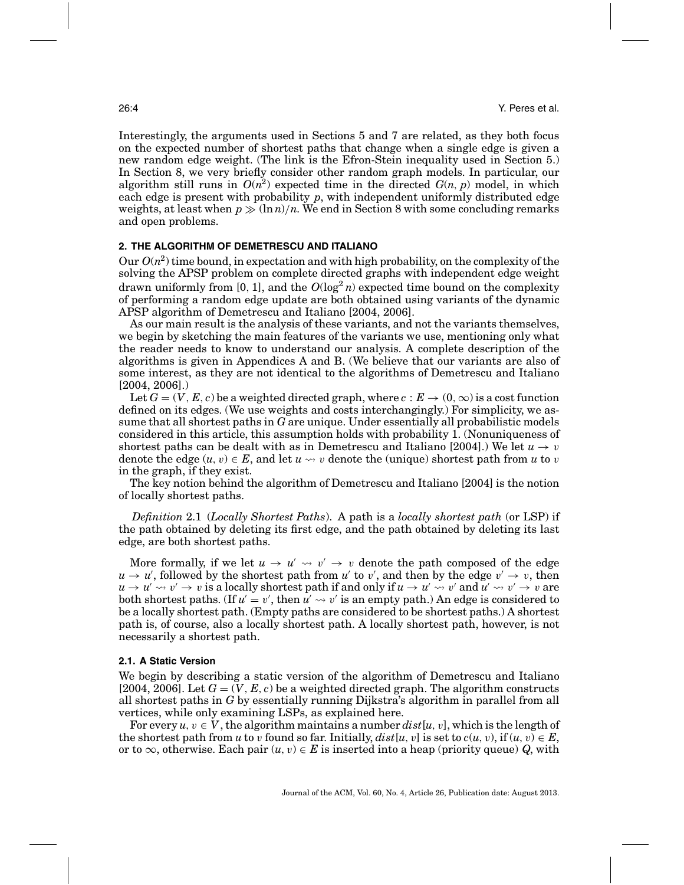Interestingly, the arguments used in Sections 5 and 7 are related, as they both focus on the expected number of shortest paths that change when a single edge is given a new random edge weight. (The link is the Efron-Stein inequality used in Section 5.) In Section 8, we very briefly consider other random graph models. In particular, our algorithm still runs in  $O(n^2)$  expected time in the directed  $G(n, p)$  model, in which each edge is present with probability *p*, with independent uniformly distributed edge weights, at least when  $p \gg (\ln n)/n$ . We end in Section 8 with some concluding remarks and open problems.

# **2. THE ALGORITHM OF DEMETRESCU AND ITALIANO**

Our  $O(n^2)$  time bound, in expectation and with high probability, on the complexity of the solving the APSP problem on complete directed graphs with independent edge weight drawn uniformly from [0, 1], and the  $O(\log^2 n)$  expected time bound on the complexity of performing a random edge update are both obtained using variants of the dynamic APSP algorithm of Demetrescu and Italiano [2004, 2006].

As our main result is the analysis of these variants, and not the variants themselves, we begin by sketching the main features of the variants we use, mentioning only what the reader needs to know to understand our analysis. A complete description of the algorithms is given in Appendices A and B. (We believe that our variants are also of some interest, as they are not identical to the algorithms of Demetrescu and Italiano [2004, 2006].)

Let  $G = (V, E, c)$  be a weighted directed graph, where  $c : E \to (0, \infty)$  is a cost function defined on its edges. (We use weights and costs interchangingly.) For simplicity, we assume that all shortest paths in *G* are unique. Under essentially all probabilistic models considered in this article, this assumption holds with probability 1. (Nonuniqueness of shortest paths can be dealt with as in Demetrescu and Italiano [2004].) We let  $u \to v$ denote the edge  $(u, v) \in E$ , and let  $u \leadsto v$  denote the (unique) shortest path from  $u$  to  $v$ in the graph, if they exist.

The key notion behind the algorithm of Demetrescu and Italiano [2004] is the notion of locally shortest paths.

*Definition* 2.1 (*Locally Shortest Paths*). A path is a *locally shortest path* (or LSP) if the path obtained by deleting its first edge, and the path obtained by deleting its last edge, are both shortest paths.

More formally, if we let  $u \to u' \leadsto v' \to v$  denote the path composed of the edge  $u \to u'$ , followed by the shortest path from *u'* to *v'*, and then by the edge  $v' \to v$ , then  $u\to u'\leadsto v'\to v\text{ is a locally shortest path if and only if }u\to u'\leadsto v'\text{ and }u'\leadsto v'\to v\text{ are }u'\to v'\text{ is a locally shortest path if and only if }u\to u'\to v'\text{ and }u'\to v'\to v'\text{ are }u''\to v'\text{ and }v''\to v'\text{ are }u''\to v''\text{ and }v''\to v'\text{ are }u''\to v''\text{ and }v''\to v''\text{ are }u''\to v''\text{ and }v''\to v''\text{ are }u''\to v''\text{ and }v''\to v''\text{ are }u''\to v''\text{ and }v''\to v''\text{ are }$ both shortest paths. (If  $u' = v'$ , then  $u' \leadsto v'$  is an empty path.) An edge is considered to be a locally shortest path. (Empty paths are considered to be shortest paths.) A shortest path is, of course, also a locally shortest path. A locally shortest path, however, is not necessarily a shortest path.

## **2.1. A Static Version**

We begin by describing a static version of the algorithm of Demetrescu and Italiano [2004, 2006]. Let  $G = (V, E, c)$  be a weighted directed graph. The algorithm constructs all shortest paths in *G* by essentially running Dijkstra's algorithm in parallel from all vertices, while only examining LSPs, as explained here.

For every  $u, v \in V$ , the algorithm maintains a number  $dist[u, v]$ , which is the length of the shortest path from *u* to *v* found so far. Initially,  $dist[u, v]$  is set to  $c(u, v)$ , if  $(u, v) \in E$ , or to  $\infty$ , otherwise. Each pair  $(u, v) \in E$  is inserted into a heap (priority queue) *Q*, with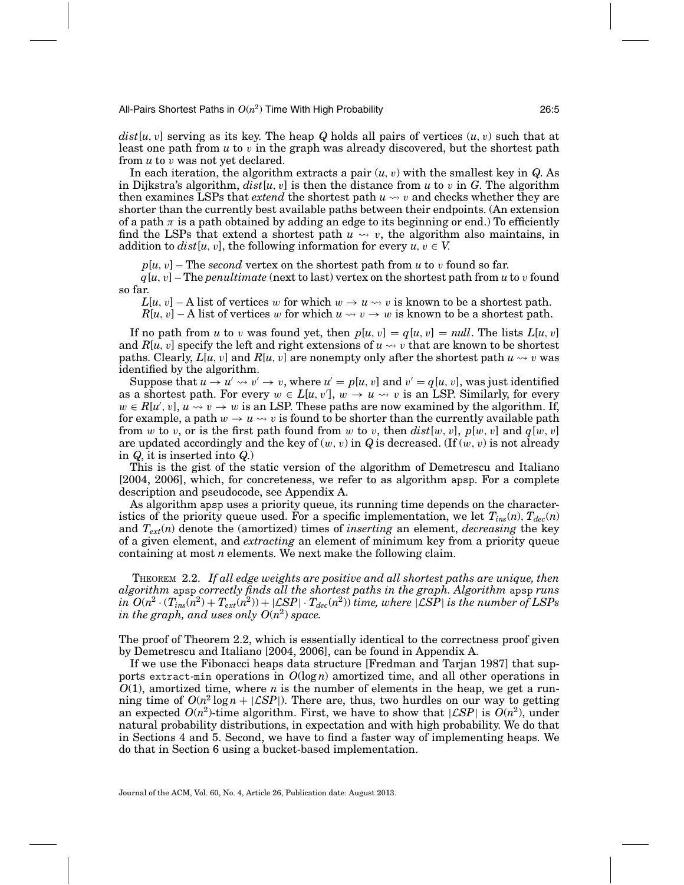$dist[u, v]$  serving as its key. The heap *Q* holds all pairs of vertices  $(u, v)$  such that at least one path from *u* to v in the graph was already discovered, but the shortest path from *u* to v was not yet declared.

In each iteration, the algorithm extracts a pair  $(u, v)$  with the smallest key in *Q*. As in Dijkstra's algorithm,  $dist[u, v]$  is then the distance from  $u$  to  $v$  in  $G$ . The algorithm then examines LSPs that  $extend$  the shortest path  $u \leadsto v$  and checks whether they are shorter than the currently best available paths between their endpoints. (An extension of a path  $\pi$  is a path obtained by adding an edge to its beginning or end.) To efficiently find the LSPs that extend a shortest path  $u \leadsto v$ , the algorithm also maintains, in addition to  $dist[u, v]$ , the following information for every  $u, v \in V$ .

 $p[u, v]$  – The *second* vertex on the shortest path from *u* to *v* found so far.

*q*[*u*,v] – The *penultimate* (next to last) vertex on the shortest path from *u* to v found so far.

 $L[u, v]$  – A list of vertices w for which  $w \to u \leadsto v$  is known to be a shortest path.  $R[u, v]$  – A list of vertices w for which  $u \leadsto v \rightarrow w$  is known to be a shortest path.

If no path from *u* to *v* was found yet, then  $p[u, v] = q[u, v] = null$ . The lists  $L[u, v]$ and  $R[u, v]$  specify the left and right extensions of  $u \leadsto v$  that are known to be shortest paths. Clearly,  $L[u,v]$  and  $R[u,v]$  are nonempty only after the shortest path  $u\rightsquigarrow v$  was identified by the algorithm.

Suppose that  $u \to u' \leadsto v' \to v$ , where  $u' = p[u,v]$  and  $v' = q[u,v]$ , was just identified as a shortest path. For every  $w \in L[u, v']$ ,  $w \to u \leadsto v$  is an LSP. Similarly, for every  $w \in R[u', v], u \rightarrow v \rightarrow w$  is an LSP. These paths are now examined by the algorithm. If, for example, a path  $w \to u \leadsto v$  is found to be shorter than the currently available path from w to v, or is the first path found from w to v, then  $dist[w, v]$ ,  $p[w, v]$  and  $q[w, v]$ are updated accordingly and the key of  $(w, v)$  in *Q* is decreased. (If  $(w, v)$  is not already in *Q*, it is inserted into *Q*.)

This is the gist of the static version of the algorithm of Demetrescu and Italiano [2004, 2006], which, for concreteness, we refer to as algorithm apsp. For a complete description and pseudocode, see Appendix A.

As algorithm apsp uses a priority queue, its running time depends on the characteristics of the priority queue used. For a specific implementation, we let  $T_{ins}(n)$ ,  $T_{dec}(n)$ and *Text*(*n*) denote the (amortized) times of *inserting* an element, *decreasing* the key of a given element, and *extracting* an element of minimum key from a priority queue containing at most *n* elements. We next make the following claim.

THEOREM 2.2. *If all edge weights are positive and all shortest paths are unique, then algorithm* apsp *correctly finds all the shortest paths in the graph. Algorithm* apsp *runs*  $\int$ *in*  $O(n^2 \cdot (T_{ins}(n^2) + T_{ext}(n^2)) + |\mathcal{L}SP| \cdot T_{dec}(n^2))$  *time, where*  $|\mathcal{L}SP|$  *is the number of LSPs in the graph, and uses only*  $O(n^2)$  *space.* 

The proof of Theorem 2.2, which is essentially identical to the correctness proof given by Demetrescu and Italiano [2004, 2006], can be found in Appendix A.

If we use the Fibonacci heaps data structure [Fredman and Tarjan 1987] that supports extract-min operations in *O*(log *n*) amortized time, and all other operations in *O*(1), amortized time, where *n* is the number of elements in the heap, we get a running time of  $O(n^2 \log n + |\mathcal{L}SP|)$ . There are, thus, two hurdles on our way to getting an expected  $O(n^2)$ -time algorithm. First, we have to show that  $|\mathcal{LSP}|$  is  $O(n^2)$ , under natural probability distributions, in expectation and with high probability. We do that in Sections 4 and 5. Second, we have to find a faster way of implementing heaps. We do that in Section 6 using a bucket-based implementation.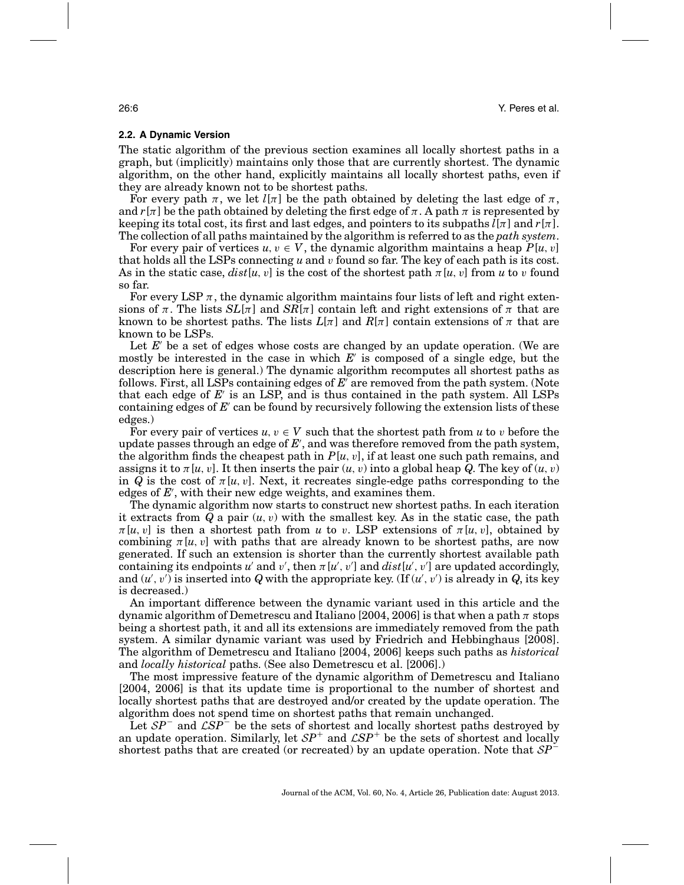## **2.2. A Dynamic Version**

The static algorithm of the previous section examines all locally shortest paths in a graph, but (implicitly) maintains only those that are currently shortest. The dynamic algorithm, on the other hand, explicitly maintains all locally shortest paths, even if they are already known not to be shortest paths.

For every path  $\pi$ , we let  $l[\pi]$  be the path obtained by deleting the last edge of  $\pi$ , and  $r[\pi]$  be the path obtained by deleting the first edge of  $\pi$ . A path  $\pi$  is represented by keeping its total cost, its first and last edges, and pointers to its subpaths  $l[\pi]$  and  $r[\pi]$ . The collection of all paths maintained by the algorithm is referred to as the *path system*.

For every pair of vertices  $u, v \in V$ , the dynamic algorithm maintains a heap  $P[u, v]$ that holds all the LSPs connecting *u* and v found so far. The key of each path is its cost. As in the static case,  $dist[u, v]$  is the cost of the shortest path  $\pi[u, v]$  from *u* to *v* found so far.

For every LSP  $\pi$ , the dynamic algorithm maintains four lists of left and right extensions of  $\pi$ . The lists  $SL[\pi]$  and  $SR[\pi]$  contain left and right extensions of  $\pi$  that are known to be shortest paths. The lists  $L[\pi]$  and  $R[\pi]$  contain extensions of  $\pi$  that are known to be LSPs.

Let *E* be a set of edges whose costs are changed by an update operation. (We are mostly be interested in the case in which *E* is composed of a single edge, but the description here is general.) The dynamic algorithm recomputes all shortest paths as follows. First, all LSPs containing edges of E' are removed from the path system. (Note that each edge of *E* is an LSP, and is thus contained in the path system. All LSPs containing edges of E' can be found by recursively following the extension lists of these edges.)

For every pair of vertices  $u, v \in V$  such that the shortest path from *u* to *v* before the update passes through an edge of *E* , and was therefore removed from the path system, the algorithm finds the cheapest path in  $P[u, v]$ , if at least one such path remains, and assigns it to  $\pi[u, v]$ . It then inserts the pair  $(u, v)$  into a global heap *Q*. The key of  $(u, v)$ in *Q* is the cost of  $\pi[u, v]$ . Next, it recreates single-edge paths corresponding to the edges of *E* , with their new edge weights, and examines them.

The dynamic algorithm now starts to construct new shortest paths. In each iteration it extracts from  $Q$  a pair  $(u, v)$  with the smallest key. As in the static case, the path  $\pi[u, v]$  is then a shortest path from *u* to *v*. LSP extensions of  $\pi[u, v]$ , obtained by combining  $\pi[u, v]$  with paths that are already known to be shortest paths, are now generated. If such an extension is shorter than the currently shortest available path containing its endpoints  $u'$  and  $v'$ , then  $\pi[u', v']$  and  $dist[u', v']$  are updated accordingly, and  $(u', v')$  is inserted into Q with the appropriate key. (If  $(u', v')$  is already in Q, its key is decreased.)

An important difference between the dynamic variant used in this article and the dynamic algorithm of Demetrescu and Italiano [2004, 2006] is that when a path  $\pi$  stops being a shortest path, it and all its extensions are immediately removed from the path system. A similar dynamic variant was used by Friedrich and Hebbinghaus [2008]. The algorithm of Demetrescu and Italiano [2004, 2006] keeps such paths as *historical* and *locally historical* paths. (See also Demetrescu et al. [2006].)

The most impressive feature of the dynamic algorithm of Demetrescu and Italiano [2004, 2006] is that its update time is proportional to the number of shortest and locally shortest paths that are destroyed and/or created by the update operation. The algorithm does not spend time on shortest paths that remain unchanged.

Let <sup>S</sup>*P*<sup>−</sup> and <sup>L</sup>*SP*<sup>−</sup> be the sets of shortest and locally shortest paths destroyed by an update operation. Similarly, let  $SP^+$  and  $CSP^+$  be the sets of shortest and locally shortest paths that are created (or recreated) by an update operation. Note that <sup>S</sup>*P*<sup>−</sup>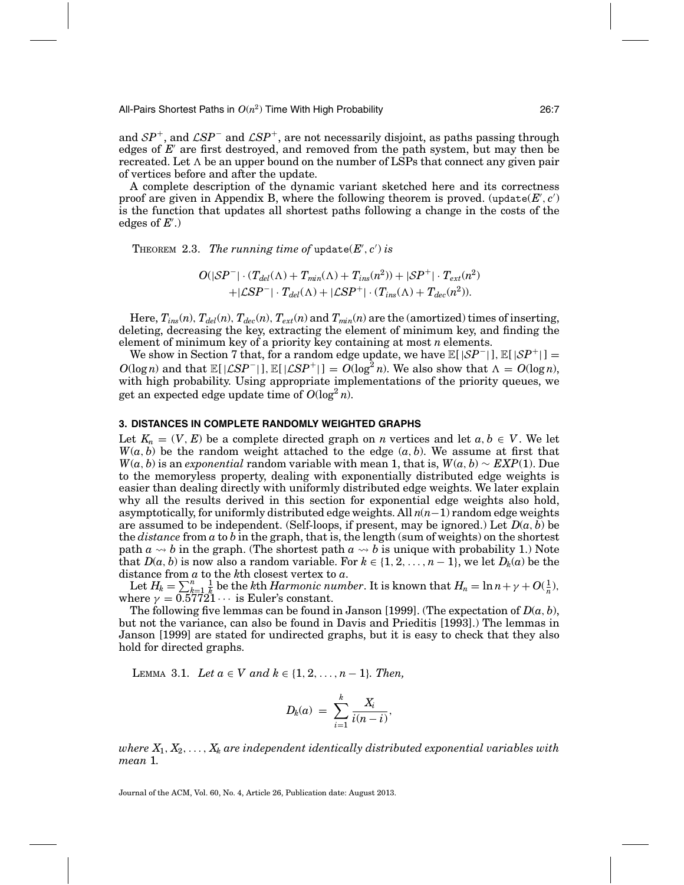All-Pairs Shortest Paths in *O*(*n*2) Time With High Probability 26:7

and  $SP^+$ , and  $\mathcal{L}SP^-$  and  $\mathcal{L}SP^+$ , are not necessarily disjoint, as paths passing through edges of  $E'$  are first destroyed, and removed from the path system, but may then be recreated. Let  $\Lambda$  be an upper bound on the number of LSPs that connect any given pair of vertices before and after the update.

A complete description of the dynamic variant sketched here and its correctness proof are given in Appendix B, where the following theorem is proved. (update( $E$ ',  $c$ ') is the function that updates all shortest paths following a change in the costs of the edges of *E* .)

THEOREM 2.3. *The running time of update* $(E', c')$  *is* 

$$
O(|\mathcal{S}P^-| \cdot (T_{del}(\Lambda) + T_{min}(\Lambda) + T_{ins}(n^2)) + |\mathcal{S}P^+| \cdot T_{ext}(n^2) + |\mathcal{S}P^-| \cdot T_{del}(\Lambda) + |\mathcal{L}\mathcal{S}P^+| \cdot (T_{ins}(\Lambda) + T_{dec}(n^2)).
$$

Here,  $T_{ins}(n)$ ,  $T_{del}(n)$ ,  $T_{dec}(n)$ ,  $T_{ext}(n)$  and  $T_{min}(n)$  are the (amortized) times of inserting, deleting, decreasing the key, extracting the element of minimum key, and finding the element of minimum key of a priority key containing at most *n* elements.

We show in Section 7 that, for a random edge update, we have  $\mathbb{E}[|SP^-|]$ ,  $\mathbb{E}[|SP^+|] =$  $O(\log n)$  and that  $\mathbb{E}[|\mathcal{L}SP^{-}|]$ ,  $\mathbb{E}[|\mathcal{L}SP^{+}|] = O(\log^2 n)$ . We also show that  $\Lambda = O(\log n)$ , with high probability. Using appropriate implementations of the priority queues, we get an expected edge update time of  $O(\log^2 n)$ .

## **3. DISTANCES IN COMPLETE RANDOMLY WEIGHTED GRAPHS**

Let  $K_n = (V, E)$  be a complete directed graph on *n* vertices and let  $a, b \in V$ . We let  $W(a, b)$  be the random weight attached to the edge  $(a, b)$ . We assume at first that *W*(*a*, *b*) is an *exponential* random variable with mean 1, that is,  $W(a, b) \sim EXP(1)$ . Due to the memoryless property, dealing with exponentially distributed edge weights is easier than dealing directly with uniformly distributed edge weights. We later explain why all the results derived in this section for exponential edge weights also hold, asymptotically, for uniformly distributed edge weights. All *n*(*n*−1) random edge weights are assumed to be independent. (Self-loops, if present, may be ignored.) Let  $D(a, b)$  be the *distance* from *a* to *b* in the graph, that is, the length (sum of weights) on the shortest path  $a \leadsto b$  in the graph. (The shortest path  $a \leadsto b$  is unique with probability 1.) Note that  $D(a, b)$  is now also a random variable. For  $k \in \{1, 2, ..., n-1\}$ , we let  $D_k(a)$  be the distance from *a* to the *k*th closest vertex to *a*.

Let  $H_k = \sum_{k=1}^n \frac{1}{k}$  be the *k*th *Harmonic number*. It is known that  $H_n = \ln n + \gamma + O(\frac{1}{n}),$ where  $\gamma = 0.57721 \cdots$  is Euler's constant.

The following five lemmas can be found in Janson [1999]. (The expectation of  $D(a, b)$ , but not the variance, can also be found in Davis and Prieditis [1993].) The lemmas in Janson [1999] are stated for undirected graphs, but it is easy to check that they also hold for directed graphs.

LEMMA 3.1. *Let*  $a \in V$  *and*  $k \in \{1, 2, ..., n-1\}$ *. Then,* 

$$
D_k(a) = \sum_{i=1}^k \frac{X_i}{i(n-i)},
$$

*where*  $X_1, X_2, \ldots, X_k$  are independent identically distributed exponential variables with *mean* 1*.*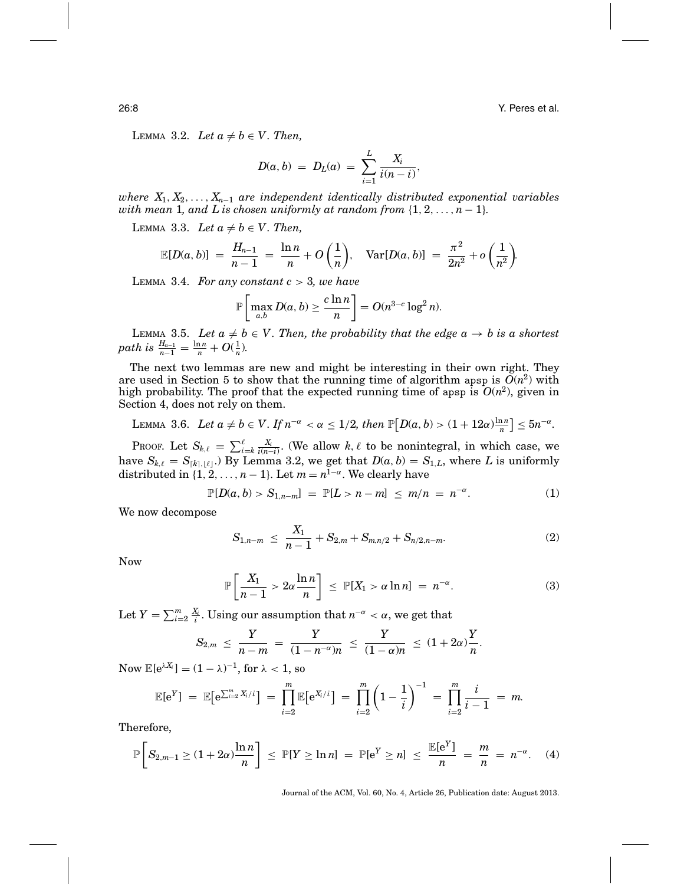26:8 Y. Peres et al.

LEMMA 3.2. Let  $a \neq b \in V$ . Then,

$$
D(a, b) = DL(a) = \sum_{i=1}^{L} \frac{X_i}{i(n-i)},
$$

*where X*1, *X*2,..., *Xn*<sup>−</sup><sup>1</sup> *are independent identically distributed exponential variables with mean* 1*, and L is chosen uniformly at random from*  $\{1, 2, \ldots, n-1\}$ *.* 

LEMMA 3.3. Let  $a \neq b \in V$ . Then,

$$
\mathbb{E}[D(a,b)] = \frac{H_{n-1}}{n-1} = \frac{\ln n}{n} + O\left(\frac{1}{n}\right), \quad \text{Var}[D(a,b)] = \frac{\pi^2}{2n^2} + o\left(\frac{1}{n^2}\right).
$$

LEMMA 3.4. For any constant  $c > 3$ , we have

$$
\mathbb{P}\left[\max_{a,b} D(a,b) \ge \frac{c\ln n}{n}\right] = O(n^{3-c}\log^2 n).
$$

LEMMA 3.5. Let  $a \neq b \in V$ . Then, the probability that the edge  $a \to b$  is a shortest *path is*  $\frac{H_{n-1}}{n-1} = \frac{\ln n}{n} + O(\frac{1}{n}).$ 

The next two lemmas are new and might be interesting in their own right. They are used in Section 5 to show that the running time of algorithm apsp is  $O(n^2)$  with high probability. The proof that the expected running time of apsp is  $O(n^2)$ , given in Section 4, does not rely on them.

LEMMA 3.6. Let 
$$
a \neq b \in V
$$
. If  $n^{-\alpha} < \alpha \leq 1/2$ , then  $\mathbb{P}[D(a, b) > (1 + 12\alpha)\frac{\ln n}{n}] \leq 5n^{-\alpha}$ .

PROOF. Let  $S_{k,\ell} = \sum_{i=k}^{\ell} \frac{X_i}{i(n-i)}$ . (We allow  $k, \ell$  to be nonintegral, in which case, we have  $S_{k,\ell} = S_{[k],\ell}$ .) By Lemma 3.2, we get that  $D(a, b) = S_{1,L}$ , where L is uniformly distributed in  $\{1, 2, ..., n-1\}$ . Let  $m = n^{1-\alpha}$ . We clearly have

$$
\mathbb{P}[D(a,b) > S_{1,n-m}] = \mathbb{P}[L > n-m] \leq m/n = n^{-\alpha}.
$$
 (1)

We now decompose

$$
S_{1,n-m} \leq \frac{X_1}{n-1} + S_{2,m} + S_{m,n/2} + S_{n/2,n-m}.
$$
 (2)

Now

$$
\mathbb{P}\left[\frac{X_1}{n-1} > 2\alpha \frac{\ln n}{n}\right] \le \mathbb{P}[X_1 > \alpha \ln n] = n^{-\alpha}.
$$
 (3)

Let  $Y = \sum_{i=2}^{m} \frac{X_i}{i}$ . Using our assumption that  $n^{-\alpha} < \alpha$ , we get that

$$
S_{2,m} \leq \frac{Y}{n-m} = \frac{Y}{(1-n^{-\alpha})n} \leq \frac{Y}{(1-\alpha)n} \leq (1+2\alpha)\frac{Y}{n}.
$$

 $\text{Now } \mathbb{E}[\mathrm{e}^{\lambda X_i}] = (1-\lambda)^{-1}, \text{ for } \lambda < 1, \text{ so}$ 

$$
\mathbb{E}[e^Y] = \mathbb{E}[e^{\sum_{i=2}^m X_i/i}] = \prod_{i=2}^m \mathbb{E}[e^{X_i/i}] = \prod_{i=2}^m \left(1 - \frac{1}{i}\right)^{-1} = \prod_{i=2}^m \frac{i}{i-1} = m.
$$

Therefore,

$$
\mathbb{P}\left[S_{2,m-1}\geq(1+2\alpha)\frac{\ln n}{n}\right]\,\leq\,\mathbb{P}[Y\geq\ln n]\,=\,\mathbb{P}[\mathrm{e}^Y\geq n]\,\leq\,\frac{\mathbb{E}[\mathrm{e}^Y]}{n}\,=\,\frac{m}{n}\,=\,n^{-\alpha}.\quad(4)
$$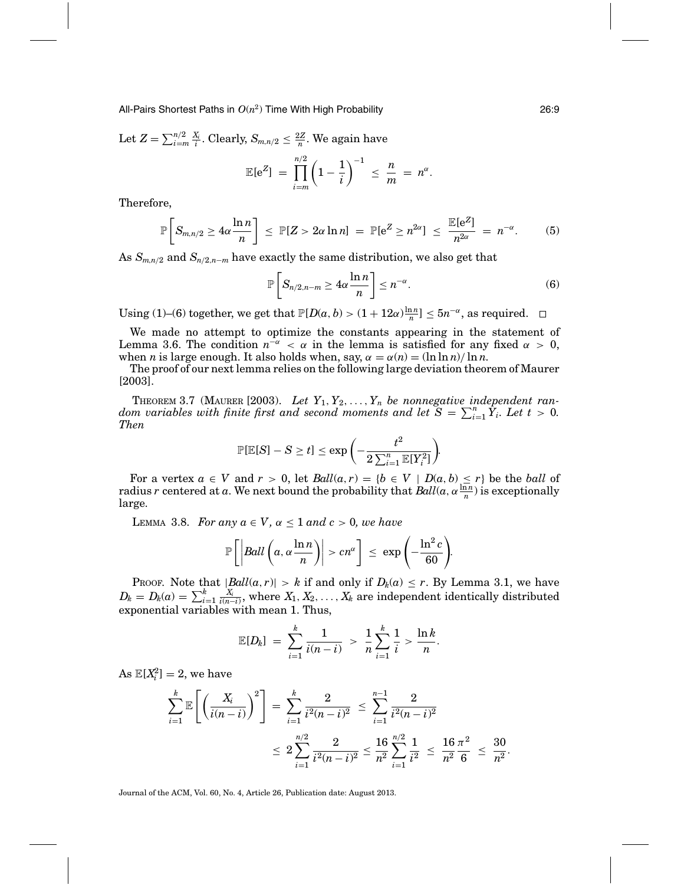All-Pairs Shortest Paths in *O*(*n*2) Time With High Probability 26:9

Let  $Z = \sum_{i=m}^{n/2} \frac{X_i}{i}$ . Clearly,  $S_{m,n/2} \leq \frac{2Z}{n}$ . We again have

$$
\mathbb{E}[e^Z] = \prod_{i=m}^{n/2} \left(1 - \frac{1}{i}\right)^{-1} \leq \frac{n}{m} = n^{\alpha}.
$$

Therefore,

$$
\mathbb{P}\left[S_{m,n/2}\geq 4\alpha\frac{\ln n}{n}\right] \leq \mathbb{P}[Z>2\alpha\ln n] = \mathbb{P}[e^Z\geq n^{2\alpha}] \leq \frac{\mathbb{E}[e^Z]}{n^{2\alpha}} = n^{-\alpha}.\tag{5}
$$

As  $S_{m,n/2}$  and  $S_{n/2,n-m}$  have exactly the same distribution, we also get that

$$
\mathbb{P}\left[S_{n/2,n-m}\geq 4\alpha\frac{\ln n}{n}\right]\leq n^{-\alpha}.\tag{6}
$$

Using (1)–(6) together, we get that  $\mathbb{P}[D(a, b) > (1 + 12\alpha)\frac{\ln n}{n}] \le 5n^{-\alpha}$ , as required.

We made no attempt to optimize the constants appearing in the statement of Lemma 3.6. The condition  $n^{-\alpha} < \alpha$  in the lemma is satisfied for any fixed  $\alpha > 0$ , when *n* is large enough. It also holds when, say,  $\alpha = \alpha(n) = (\ln \ln n)/\ln n$ .

The proof of our next lemma relies on the following large deviation theorem of Maurer [2003].

THEOREM 3.7 (MAURER [2003). Let  $Y_1, Y_2, \ldots, Y_n$  be nonnegative independent ran*dom variables with finite first and second moments and let*  $S = \sum_{i=1}^{n} Y_i$ *. Let*  $t > 0$ *. Then*

$$
\mathbb{P}[\mathbb{E}[S] - S \geq t] \leq \exp\bigg(-\frac{t^2}{2\sum_{i=1}^n \mathbb{E}[Y_i^2]}\bigg).
$$

For a vertex  $a \in V$  and  $r > 0$ , let  $Ball(a, r) = \{b \in V \mid D(a, b) \le r\}$  be the *ball* of radius *r* centered at *a*. We next bound the probability that  $Ball(a, \alpha \frac{\ln n}{n})$  is exceptionally large.

LEMMA 3.8. *For any*  $a \in V$ ,  $\alpha \leq 1$  *and*  $c > 0$ , we have

$$
\mathbb{P}\left[\left|Ball\left(a, \alpha \frac{\ln n}{n}\right)\right| > cn^{\alpha}\right] \leq \exp\left(-\frac{\ln^2 c}{60}\right).
$$

Proof. Note that  $|Ball(a, r)| > k$  if and only if  $D_k(a) \leq r$ . By Lemma 3.1, we have  $D_k = D_k(a) = \sum_{i=1}^k \frac{X_i}{i(n-i)}, \text{ where } X_1, X_2, \ldots, X_k \text{ are independent identically distributed}$ exponential variables with mean 1. Thus,

$$
\mathbb{E}[D_k] = \sum_{i=1}^k \frac{1}{i(n-i)} > \frac{1}{n} \sum_{i=1}^k \frac{1}{i} > \frac{\ln k}{n}.
$$

 $\text{As } \mathbb{E}[X_i^2] = 2$ , we have

$$
\sum_{i=1}^{k} \mathbb{E}\left[\left(\frac{X_i}{i(n-i)}\right)^2\right] = \sum_{i=1}^{k} \frac{2}{i^2(n-i)^2} \le \sum_{i=1}^{n-1} \frac{2}{i^2(n-i)^2}
$$

$$
\le 2\sum_{i=1}^{n/2} \frac{2}{i^2(n-i)^2} \le \frac{16}{n^2} \sum_{i=1}^{n/2} \frac{1}{i^2} \le \frac{16}{n^2} \frac{\pi^2}{6} \le \frac{30}{n^2}.
$$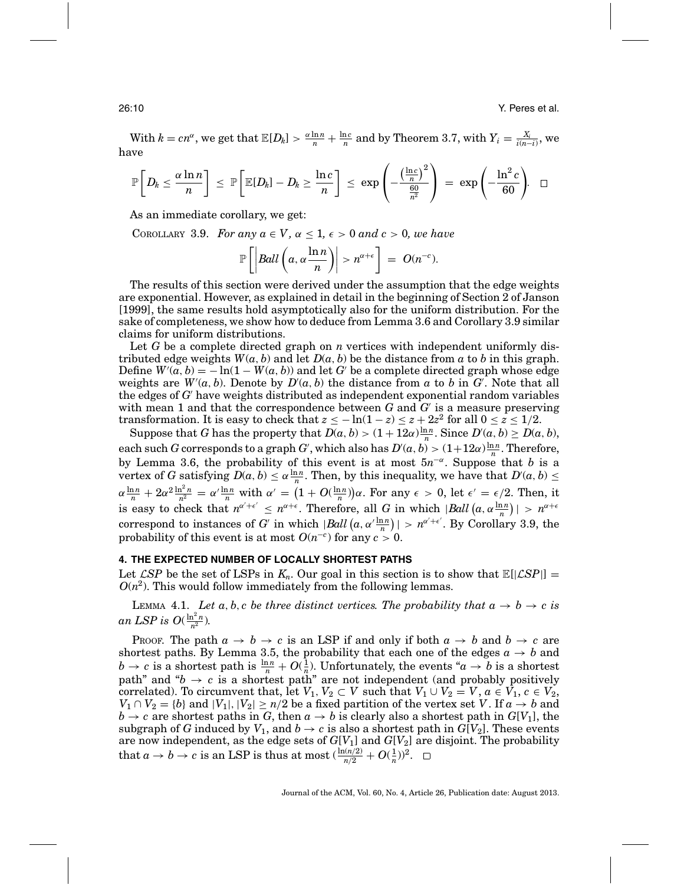$\text{With } k = cn^{\alpha}, \text{ we get that } \mathbb{E}[D_k] > \frac{\alpha \ln n}{n} + \frac{\ln c}{n} \text{ and by Theorem 3.7, with } Y_i = \frac{X_i}{i(n-i)}, \text{ we}$ have

$$
\mathbb{P}\left[D_k \leq \frac{\alpha \ln n}{n}\right] \leq \mathbb{P}\left[\mathbb{E}[D_k] - D_k \geq \frac{\ln c}{n}\right] \leq \exp\left(-\frac{\left(\frac{\ln c}{n}\right)^2}{\frac{60}{n^2}}\right) = \exp\left(-\frac{\ln^2 c}{60}\right). \square
$$

As an immediate corollary, we get:

COROLLARY 3.9. *For any*  $a \in V$ ,  $\alpha \leq 1$ ,  $\epsilon > 0$  and  $c > 0$ , we have

$$
\mathbb{P}\left[\left|Ball\left(a,\alpha\frac{\ln n}{n}\right)\right|>n^{\alpha+\epsilon}\right] = O(n^{-c}).
$$

The results of this section were derived under the assumption that the edge weights are exponential. However, as explained in detail in the beginning of Section 2 of Janson [1999], the same results hold asymptotically also for the uniform distribution. For the sake of completeness, we show how to deduce from Lemma 3.6 and Corollary 3.9 similar claims for uniform distributions.

Let *G* be a complete directed graph on *n* vertices with independent uniformly distributed edge weights  $W(a, b)$  and let  $D(a, b)$  be the distance from *a* to *b* in this graph. Define  $W(\alpha, b) = -\ln(1 - W(a, b))$  and let G' be a complete directed graph whose edge weights are  $W'(a, b)$ . Denote by  $D'(a, b)$  the distance from *a* to *b* in  $G'$ . Note that all the edges of *G* have weights distributed as independent exponential random variables with mean 1 and that the correspondence between *G* and *G* is a measure preserving transformation. It is easy to check that  $z \leq -\ln(1-z) \leq z + 2z^2$  for all  $0 \leq z \leq 1/2$ .

Suppose that *G* has the property that  $D(a, b) > (1 + 12a)\frac{\ln n}{n}$ . Since  $D'(a, b) \ge D(a, b)$ , each such *G* corresponds to a graph *G*<sup>'</sup>, which also has  $D'(a, b) > (1+12a)\frac{\ln n}{n}$ . Therefore, by Lemma 3.6, the probability of this event is at most  $5n^{-\alpha}$ . Suppose that *b* is a vertex of *G* satisfying  $D(a, b) \le \alpha \frac{\ln n}{n}$ . Then, by this inequality, we have that  $D'(a, b) \le$  $\alpha \frac{\ln n}{n} + 2\alpha^2 \frac{\ln^2 n}{n^2} = \alpha' \frac{\ln n}{n}$  with  $\alpha' = \left(1 + O(\frac{\ln n}{n})\right)\alpha$ . For any  $\epsilon > 0$ , let  $\epsilon' = \epsilon/2$ . Then, it is easy to check that  $n^{\alpha'+\epsilon'} \leq n^{\alpha+\epsilon}$ . Therefore, all *G* in which  $|Ball(a, \alpha \frac{\ln n}{n})| > n^{\alpha+\epsilon}$ correspond to instances of *G* in which  $|Ball(a, \alpha' \frac{\ln n}{n})| > n^{\alpha'+\epsilon'}$ . By Corollary 3.9, the probability of this event is at most  $O(n^{-c})$  for any  $c > 0$ .

## **4. THE EXPECTED NUMBER OF LOCALLY SHORTEST PATHS**

Let  $\mathcal{L}SP$  be the set of LSPs in  $K_n$ . Our goal in this section is to show that  $\mathbb{E}[|\mathcal{L}SP|] =$  $O(n^2)$ . This would follow immediately from the following lemmas.

LEMMA 4.1. Let a, b, c be three distinct vertices. The probability that  $a \to b \to c$  is *an LSP is O*( $\frac{\ln^2 n}{n^2}$ ).

Proof. The path  $a \rightarrow b \rightarrow c$  is an LSP if and only if both  $a \rightarrow b$  and  $b \rightarrow c$  are shortest paths. By Lemma 3.5, the probability that each one of the edges  $a \rightarrow b$  and  $b \to c$  is a shortest path is  $\frac{\ln n}{n} + O(\frac{1}{n})$ . Unfortunately, the events " $a \to b$  is a shortest path" and " $b \rightarrow c$  is a shortest path" are not independent (and probably positively correlated). To circumvent that, let  $V_1, V_2 \subset V$  such that  $V_1 \cup V_2 = V$ ,  $a \in V_1$ ,  $c \in V_2$ ,  $V_1 \cap V_2 = \{b\}$  and  $|V_1|, |V_2| \geq n/2$  be a fixed partition of the vertex set *V* . If  $a \to b$  and  $b \rightarrow c$  are shortest paths in *G*, then  $a \rightarrow b$  is clearly also a shortest path in  $G[V_1]$ , the subgraph of *G* induced by  $V_1$ , and  $b \rightarrow c$  is also a shortest path in  $G[V_2]$ . These events are now independent, as the edge sets of *G*[*V*1] and *G*[*V*2] are disjoint. The probability that  $a \to b \to c$  is an LSP is thus at most  $(\frac{\ln(n/2)}{n/2} + O(\frac{1}{n}))^2$ .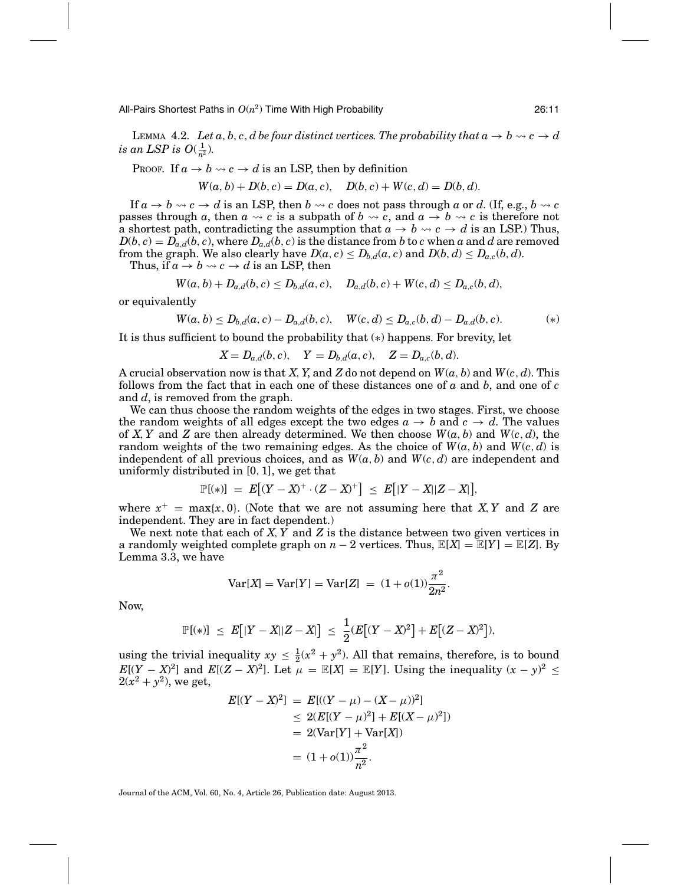All-Pairs Shortest Paths in  $O(n^2)$  Time With High Probability  $26:11$ 

LEMMA 4.2. *Let*  $a, b, c, d$  *be four distinct vertices. The probability that*  $a \to b \leadsto c \to d$ *is an LSP is*  $O(\frac{1}{n^2})$ *.* 

PROOF. If  $a \to b \leadsto c \to d$  is an LSP, then by definition

$$
W(a, b) + D(b, c) = D(a, c), \quad D(b, c) + W(c, d) = D(b, d).
$$

If  $a \to b \leadsto c \to d$  is an LSP, then  $b \leadsto c$  does not pass through  $a$  or  $d$ . (If, e.g.,  $b \leadsto c$ passes through *a*, then  $a \leadsto c$  is a subpath of  $b \leadsto c$ , and  $a \rightarrow b \leadsto c$  is therefore not a shortest path, contradicting the assumption that  $a \to b \leadsto c \to d$  is an LSP.) Thus,  $D(b, c) = D_{a,d}(b, c)$ , where  $D_{a,d}(b, c)$  is the distance from *b* to *c* when *a* and *d* are removed from the graph. We also clearly have  $D(a, c) \leq D_{b,d}(a, c)$  and  $D(b, d) \leq D_{a,c}(b, d)$ .

Thus, if  $a \to b \leadsto c \to d$  is an LSP, then

$$
W(a, b) + D_{a,d}(b, c) \leq D_{b,d}(a, c), \quad D_{a,d}(b, c) + W(c, d) \leq D_{a,c}(b, d),
$$

or equivalently

$$
W(a, b) \le D_{b,d}(a, c) - D_{a,d}(b, c), \quad W(c, d) \le D_{a,c}(b, d) - D_{a,d}(b, c).
$$
 (\*)

It is thus sufficient to bound the probability that (∗) happens. For brevity, let

 $X = D_{a,d}(b, c),$   $Y = D_{b,d}(a, c),$   $Z = D_{a,c}(b, d).$ 

A crucial observation now is that *X*,*Y*, and *Z* do not depend on *W*(*a*, *b*) and *W*(*c*, *d*). This follows from the fact that in each one of these distances one of *a* and *b*, and one of *c* and *d*, is removed from the graph.

We can thus choose the random weights of the edges in two stages. First, we choose the random weights of all edges except the two edges  $a \rightarrow b$  and  $c \rightarrow d$ . The values of *X*, *Y* and *Z* are then already determined. We then choose  $W(a, b)$  and  $W(c, d)$ , the random weights of the two remaining edges. As the choice of  $W(a, b)$  and  $W(c, d)$  is independent of all previous choices, and as  $W(a, b)$  and  $W(c, d)$  are independent and uniformly distributed in [0, 1], we get that

$$
\mathbb{P}[(*)] = E[(Y - X)^+ \cdot (Z - X)^+] \leq E[|Y - X||Z - X|],
$$

where  $x^+$  = max{*x*, 0}. (Note that we are not assuming here that *X*, *Y* and *Z* are independent. They are in fact dependent.)

We next note that each of *X*,*Y* and *Z* is the distance between two given vertices in a randomly weighted complete graph on  $n-2$  vertices. Thus,  $\mathbb{E}[X] = \mathbb{E}[Y] = \mathbb{E}[Z]$ . By Lemma 3.3, we have

$$
Var[X] = Var[Y] = Var[Z] = (1 + o(1))\frac{\pi^2}{2n^2}.
$$

Now,

$$
\mathbb{P}[(*)] \leq E[|Y - X||Z - X|] \leq \frac{1}{2}(E[(Y - X)^{2}] + E[(Z - X)^{2}]),
$$

using the trivial inequality  $xy \leq \frac{1}{2}(x^2 + y^2)$ . All that remains, therefore, is to bound  $E[(Y - X)^2]$  and  $E[(Z - X)^2]$ . Let  $\mu = \mathbb{E}[X] = \mathbb{E}[Y]$ . Using the inequality  $(x - y)^2 \le$  $2(x^2 + y^2)$ , we get,

$$
E[(Y - X)^{2}] = E[(Y - \mu) - (X - \mu))^{2}]
$$
  
\n
$$
\leq 2(E[(Y - \mu)^{2}] + E[(X - \mu)^{2}])
$$
  
\n
$$
= 2(\text{Var}[Y] + \text{Var}[X])
$$
  
\n
$$
= (1 + o(1))\frac{\pi^{2}}{n^{2}}.
$$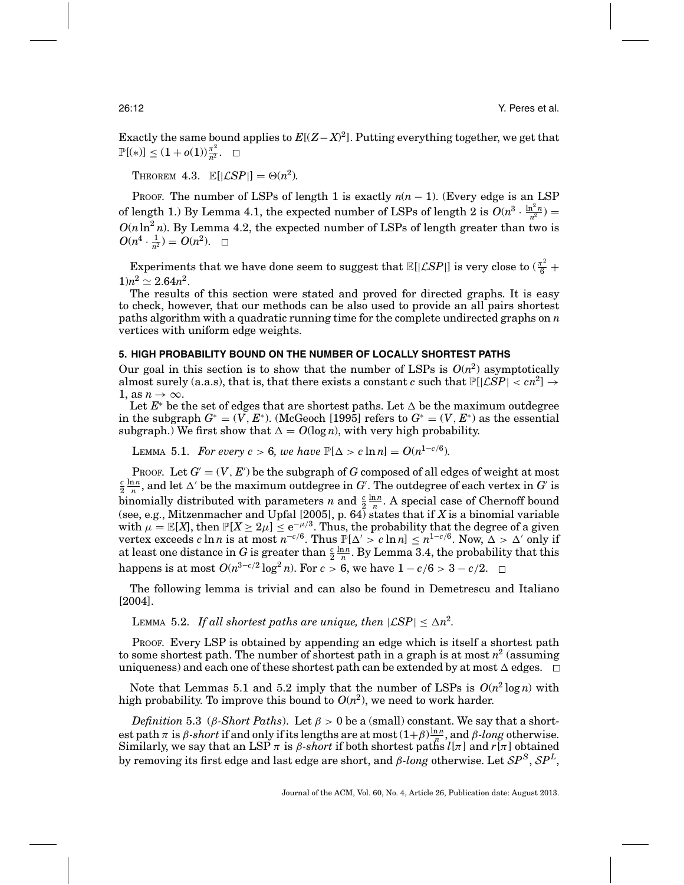Exactly the same bound applies to  $E[(Z - X)^2]$ . Putting everything together, we get that  $\mathbb{P}[(*)] \leq (1+o(1))\frac{\pi^2}{n^2}.$ 

THEOREM 4.3.  $\mathbb{E}[|\mathcal{L}SP|] = \Theta(n^2)$ .

PROOF. The number of LSPs of length 1 is exactly  $n(n-1)$ . (Every edge is an LSP of length 1.) By Lemma 4.1, the expected number of LSPs of length 2 is  $O(n^3 \cdot \frac{\ln^2 n}{n^2})$  $O(n \ln^2 n)$ . By Lemma 4.2, the expected number of LSPs of length greater than two is  $O(n^4 \cdot \frac{1}{n^2}) = O(n^2).$ 

Experiments that we have done seem to suggest that  $\mathbb{E}[|\mathcal{L}SP|]$  is very close to  $(\frac{\pi^2}{6} +$  $1)n^2 \simeq 2.64n^2$ .

The results of this section were stated and proved for directed graphs. It is easy to check, however, that our methods can be also used to provide an all pairs shortest paths algorithm with a quadratic running time for the complete undirected graphs on *n* vertices with uniform edge weights.

# **5. HIGH PROBABILITY BOUND ON THE NUMBER OF LOCALLY SHORTEST PATHS**

Our goal in this section is to show that the number of LSPs is  $O(n^2)$  asymptotically almost surely (a.a.s), that is, that there exists a constant *c* such that  $\mathbb{P}[\angle SP] < cn^2$   $\rightarrow$ 1, as  $n \to \infty$ .

Let  $E^*$  be the set of edges that are shortest paths. Let  $\Delta$  be the maximum outdegree in the subgraph  $G^* = (V, E^*)$ . (McGeoch [1995] refers to  $G^* = (V, E^*)$  as the essential subgraph.) We first show that  $\Delta = O(\log n)$ , with very high probability.

LEMMA 5.1. *For every c* > 6, we have  $\mathbb{P}[\Delta > c \ln n] = O(n^{1-c/6})$ .

PROOF. Let  $G' = (V, E')$  be the subgraph of  $G$  composed of all edges of weight at most  $\frac{c}{2}\frac{\ln n}{n}$ , and let  $\Delta'$  be the maximum outdegree in  $G'$ . The outdegree of each vertex in  $G'$  is  $\frac{2}{2}$  n, and let  $\Delta$  be the maximum outdegree in  $\alpha$ . The outdegree of each vertex in  $\alpha$  is<br>binomially distributed with parameters *n* and  $\frac{c}{2} \frac{\ln n}{n}$ . A special case of Chernoff bound (see, e.g., Mitzenmacher and Upfal [2005], p. 64) states that if *X* is a binomial variable with  $\mu = \mathbb{E}[X]$ , then  $\mathbb{P}[X \geq 2\mu] \leq e^{-\mu/3}$ . Thus, the probability that the degree of a given vertex exceeds *c* ln *n* is at most  $n^{-c/6}$ . Thus  $\mathbb{P}[\Delta' > c \ln n] \le n^{1-c/6}$ . Now,  $\Delta > \Delta'$  only if at least one distance in *G* is greater than  $\frac{c}{2} \frac{\ln n}{n}$ . By Lemma 3.4, the probability that this happens is at most  $O(n^{3-c/2} \log^2 n)$ . For  $c > 6$ , we have  $1 - c/6 > 3 - c/2$ . □

The following lemma is trivial and can also be found in Demetrescu and Italiano [2004].

LEMMA 5.2. If all shortest paths are unique, then  $|\mathcal{LSP}| \leq \Delta n^2$ .

PROOF. Every LSP is obtained by appending an edge which is itself a shortest path to some shortest path. The number of shortest path in a graph is at most  $n^2$  (assuming uniqueness) and each one of these shortest path can be extended by at most  $\Delta$  edges.

Note that Lemmas 5.1 and 5.2 imply that the number of LSPs is  $O(n^2 \log n)$  with high probability. To improve this bound to  $O(n^2)$ , we need to work harder.

*Definition* 5.3 (*β-Short Paths*). Let  $\beta > 0$  be a (small) constant. We say that a shortest path  $\pi$  is *β-short* if and only if its lengths are at most  $(1+\beta)\frac{\ln n}{n}$ , and *β-long* otherwise. Similarly, we say that an LSP  $\pi$  is  $\beta$ -short if both shortest paths  $l[\pi]$  and  $r[\pi]$  obtained by removing its first edge and last edge are short, and <sup>β</sup>*-long* otherwise. Let <sup>S</sup>*P<sup>S</sup>*, <sup>S</sup>*P<sup>L</sup>*,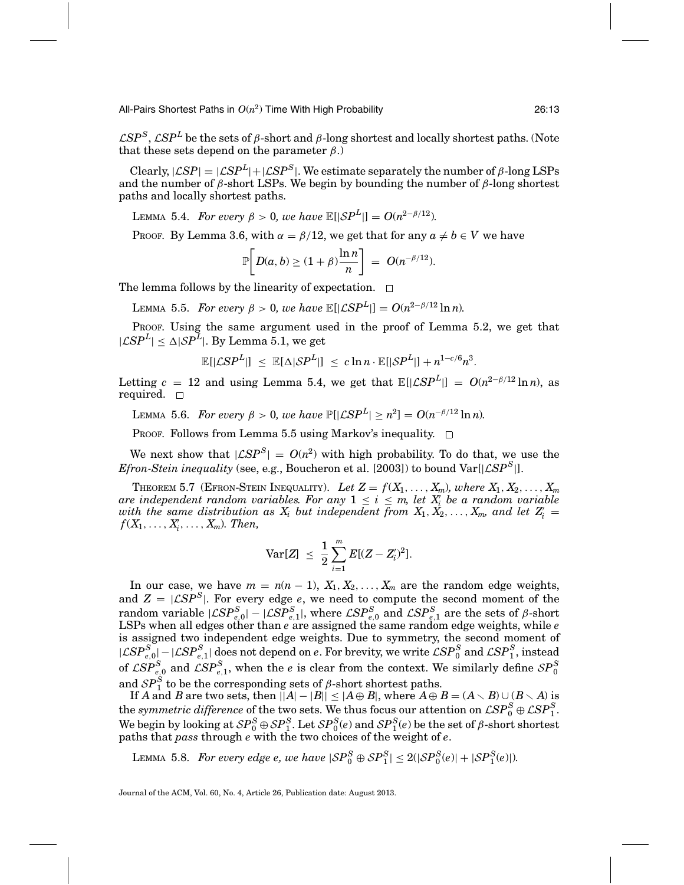All-Pairs Shortest Paths in *O*(*n*2) Time With High Probability 26:13

 $\mathcal{L}SP^{S}$ ,  $\mathcal{L}SP^{L}$  be the sets of  $\beta$ -short and  $\beta$ -long shortest and locally shortest paths. (Note that these sets depend on the parameter  $\beta$ .)

Clearly,  $|\mathcal{LSP}| = |\mathcal{LSP}^L| + |\mathcal{LSP}^S|$ . We estimate separately the number of β-long LSPs and the number of β-short LSPs. We begin by bounding the number of β-long shortest paths and locally shortest paths.

LEMMA 5.4. *For every* β > 0*, we have*  $\mathbb{E}[|SP^L|] = O(n^{2-\beta/12})$ *.* 

Proof. By Lemma 3.6, with  $\alpha = \beta/12$ , we get that for any  $a \neq b \in V$  we have

$$
\mathbb{P}\bigg[D(a,b)\geq(1+\beta)\frac{\ln n}{n}\bigg] = O(n^{-\beta/12}).
$$

The lemma follows by the linearity of expectation.  $\Box$ 

LEMMA 5.5. *For every*  $\beta > 0$ , we have  $\mathbb{E}[|\mathcal{L}SP^L|] = O(n^{2-\beta/12}\ln n)$ .

PROOF. Using the same argument used in the proof of Lemma 5.2, we get that  $|\mathcal{L}SP^L| \leq \Delta |\mathcal{S}P^L|$ . By Lemma 5.1, we get

$$
\mathbb{E}[|\mathcal{L}SP^{L}|] \leq \mathbb{E}[\Delta|\mathcal{S}P^{L}|] \leq c \ln n \cdot \mathbb{E}[|\mathcal{S}P^{L}|] + n^{1-c/6}n^{3}.
$$

Letting  $c = 12$  and using Lemma 5.4, we get that  $\mathbb{E}[|\mathcal{L}SP^L|] = O(n^{2-\beta/12} \ln n)$ , as required.  $\square$ 

LEMMA 5.6. *For every*  $\beta > 0$ , we have  $\mathbb{P}[|\mathcal{L}SP^L| \ge n^2] = O(n^{-\beta/12} \ln n)$ .

PROOF. Follows from Lemma 5.5 using Markov's inequality.  $\Box$ 

We next show that  $|\mathcal{L}SP^S| = O(n^2)$  with high probability. To do that, we use the *Efron-Stein inequality* (see, e.g., Boucheron et al. [2003]) to bound  $Var[|\mathcal{L}SP^S|]$ .

Theorem 5.7 (Efron-Stein Inequality). Let  $Z = f(X_1, \ldots, X_m)$ , where  $X_1, X_2, \ldots, X_m$ *are independent random variables. For any*  $1 \leq i \leq m$ , let  $X_i$  be a random variable with the same distribution as  $X_i$  but independent from  $X_1, X_2, \ldots, X_m$ , and let  $Z'_i$  $f(X_1,\ldots,X_i',\ldots,X_m)$ *. Then,* 

$$
\text{Var}[Z] \ \leq \ \frac{1}{2} \sum_{i=1}^m E[(Z-Z'_i)^2].
$$

In our case, we have  $m = n(n - 1)$ ,  $X_1, X_2, \ldots, X_m$  are the random edge weights, and  $Z = |CSP^S|$ . For every edge *e*, we need to compute the second moment of the  $\text{random variable } |\mathcal{LSP}_{e,0}^S| - |\mathcal{LSP}_{e,1}^S|$ , where  $\mathcal{LSP}_{e,0}^S$  and  $\mathcal{LSP}_{e,1}^S$  are the sets of  $\beta$ -short LSPs when all edges other than *e* are assigned the same random edge weights, while *e* is assigned two independent edge weights. Due to symmetry, the second moment of  $|LSP_{e,0}^S|$  −  $|LSP_{e,1}^S|$  does not depend on *e*. For brevity, we write  $LSP_0^S$  and  $LSP_1^S$ , instead of  $\mathcal{LSP}^S_{e,0}$  and  $\mathcal{LSP}^S_{e,1}$ , when the *e* is clear from the context. We similarly define  $\mathcal{SP}^S_0$ and  $SP_1^S$  to be the corresponding sets of  $\beta$ -short shortest paths.

If *A* and *B* are two sets, then  $||A|-|B|| \leq |A \oplus B|$ , where  $A \oplus B = (A \setminus B) \cup (B \setminus A)$  is the *symmetric difference* of the two sets. We thus focus our attention on  $\mathcal{L}SP_0^S \oplus \mathcal{L}SP_1^S$ . We begin by looking at  $SP_0^S \oplus SP_1^S$ . Let  $SP_0^S$  (*e*) and  $SP_1^S$  (*e*) be the set of *β*-short shortest paths that *pass* through *e* with the two choices of the weight of *e*.

LEMMA 5.8. *For every edge e, we have*  $|SP_0^S \oplus SP_1^S| \leq 2(|SP_0^S(e)| + |SP_1^S(e)|)$ .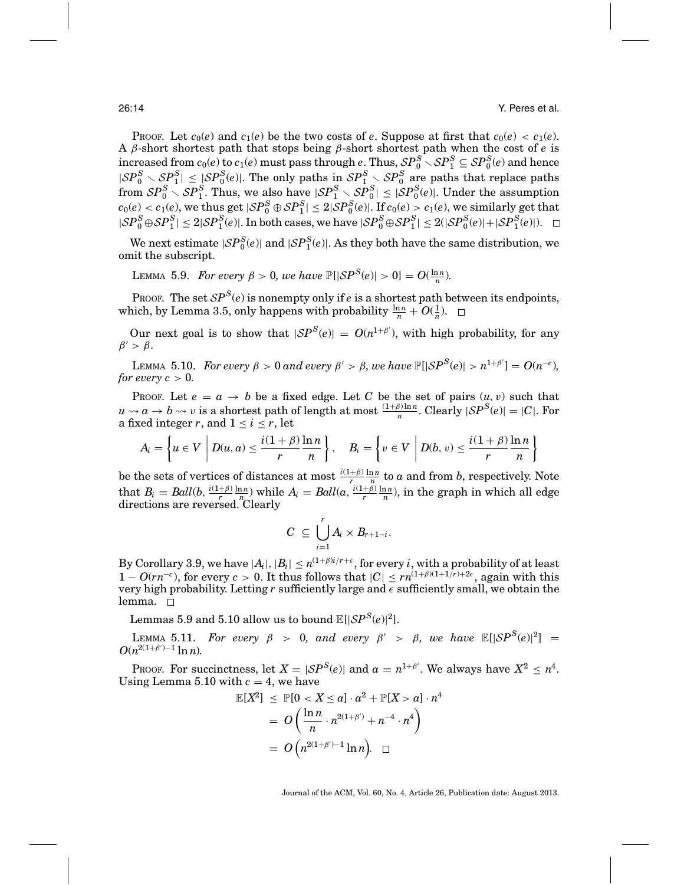PROOF. Let  $c_0(e)$  and  $c_1(e)$  be the two costs of *e*. Suppose at first that  $c_0(e) < c_1(e)$ . A β-short shortest path that stops being β-short shortest path when the cost of *e* is  $\frac{1}{2}$  increased from  $c_0(e)$  to  $c_1(e)$  must pass through  $e$ . Thus,  $\mathcal{SP}_0^S \setminus \mathcal{SP}_1^S \subseteq \mathcal{SP}_0^S(e)$  and hence  $|SP_0^S \setminus SP_0^S| \le |SP_0^S(e)|$ . The only paths in  $SP_1^S \setminus SP_0^S$  are paths that replace paths  $S P_0^S \setminus \mathcal{SP}_1^S$ . Thus, we also have  $|\mathcal{SP}_1^S \setminus \mathcal{SP}_0^S| \leq |\mathcal{SP}_0^S(e)|$ . Under the assumption  $c_0(e) < c_1(e)$ , we thus get  $|{\cal SP}_0^S \oplus {\cal SP}_1^S| \leq 2|{\cal SP}_0^S(e)|$ . If  $c_0(e) > c_1(e)$ , we similarly get that  $|SP_0^S \oplus SP_1^S| \leq 2|SP_1^S(e)|$ . In both cases, we have  $|SP_0^S \oplus SP_1^S| \leq 2(|SP_0^S(e)|+|SP_1^S(e)|)$ .

We next estimate  $|SP_0^S(e)|$  and  $|SP_1^S(e)|$ . As they both have the same distribution, we omit the subscript.

LEMMA 5.9. *For every*  $β > 0$ *, we have*  $\mathbb{P}[|SP^S(e)| > 0] = O(\frac{\ln n}{n})$ *.* 

Proof. The set  $SP^{S}(e)$  is nonempty only if *e* is a shortest path between its endpoints, which, by Lemma 3.5, only happens with probability  $\frac{\ln n}{n} + O(\frac{1}{n})$ .

Our next goal is to show that  $|SP^S(e)| = O(n^{1+\beta})$ , with high probability, for any  $\beta' > \beta$ .

LEMMA 5.10. *For every*  $\beta > 0$  *and every*  $\beta' > \beta$ *, we have*  $\mathbb{P}[|SP^S(e)| > n^{1+\beta'}] = O(n^{-c})$ *, for every c*  $> 0$ *.* 

PROOF. Let  $e = a \rightarrow b$  be a fixed edge. Let C be the set of pairs  $(u, v)$  such that  $u \rightarrow a \rightarrow b \rightarrow v$  is a shortest path of length at most  $\frac{(1+\beta)\ln n}{n}$ . Clearly  $|\mathcal{S}P^{S}(e)| = |C|$ . For a fixed integer *r*, and  $1 \le i \le r$ , let

$$
A_i = \left\{ u \in V \middle| D(u, a) \leq \frac{i(1+\beta)}{r} \frac{\ln n}{n} \right\}, \quad B_i = \left\{ v \in V \middle| D(b, v) \leq \frac{i(1+\beta)}{r} \frac{\ln n}{n} \right\}
$$

be the sets of vertices of distances at most  $\frac{i(1+\beta)}{r} \frac{\ln n}{n}$  to *a* and from *b*, respectively. Note that  $B_i = Ball(b, \frac{i(1+\beta)}{r} \frac{\ln n}{n})$  while  $A_i = Ball(a, \frac{i(1+\beta)}{r} \frac{\ln n}{n})$ , in the graph in which all edge directions are reversed. Clearly

$$
C\ \subseteq\ \bigcup_{i=1}^r A_i\times B_{r+1-i}.
$$

By Corollary 3.9, we have  $|A_i|, |B_i| \leq n^{(1+\beta)i/r + \epsilon},$  for every  $i$  , with a probability of at least  $1 - O(rn^{-c})$ , for every  $c > 0$ . It thus follows that  $|C| \leq rn^{(1+\beta)(1+1/r)+2\epsilon}$ , again with this very high probability. Letting  $r$  sufficiently large and  $\epsilon$  sufficiently small, we obtain the lemma.  $\square$ 

Lemmas 5.9 and 5.10 allow us to bound  $\mathbb{E}[|SP^S(e)|^2]$ .

LEMMA 5.11. *For every*  $\beta > 0$ , and every  $\beta' > \beta$ , we have  $\mathbb{E}[|SP^S(e)|^2] =$  $O(n^{2(1+\beta')-1}\ln n)$ .

PROOF. For succinctness, let  $X = |\mathcal{SP}^S(e)|$  and  $a = n^{1+\beta'}$ . We always have  $X^2 \leq n^4$ . Using Lemma 5.10 with  $c = 4$ , we have

$$
\mathbb{E}[X^2] \leq \mathbb{P}[0 < X \leq a] \cdot a^2 + \mathbb{P}[X > a] \cdot n^4
$$
\n
$$
= O\left(\frac{\ln n}{n} \cdot n^{2(1+\beta')} + n^{-4} \cdot n^4\right)
$$
\n
$$
= O\left(n^{2(1+\beta')-1} \ln n\right) \quad \Box
$$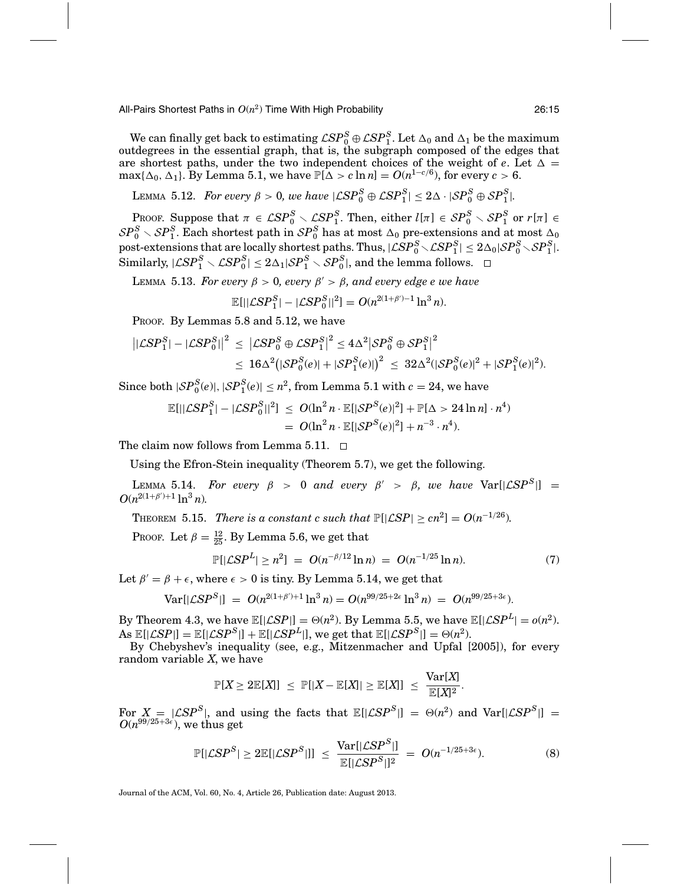All-Pairs Shortest Paths in *O*(*n*2) Time With High Probability 26:15

We can finally get back to estimating  $\mathcal{L}SP_0^S\oplus\mathcal{L}SP_1^S$ . Let  $\Delta_0$  and  $\Delta_1$  be the maximum outdegrees in the essential graph, that is, the subgraph composed of the edges that are shortest paths, under the two independent choices of the weight of  $e$ . Let  $\Delta =$  $\max\{\Delta_0, \Delta_1\}$ . By Lemma 5.1, we have  $\mathbb{P}[\Delta > c \ln n] = O(n^{1-c/6})$ , for every  $c > 6$ .

LEMMA 5.12. *For every*  $\beta > 0$ , we have  $|\mathcal{L}SP_0^S \oplus \mathcal{L}SP_1^S| \leq 2\Delta \cdot |SP_0^S \oplus SP_1^S|$ .

PROOF. Suppose that  $\pi \in \mathcal{LSP}_0^S \setminus \mathcal{LSP}_1^S$ . Then, either  $l[\pi] \in \mathcal{SP}_0^S \setminus \mathcal{SP}_1^S$  or  $r[\pi] \in \mathcal{S}$  $\mathcal{SP}_0^S\smallsetminus\mathcal{SP}_1^S.$  Each shortest path in  $\mathcal{SP}_0^S$  has at most  $\Delta_0$  pre-extensions and at most  $\Delta_0$  $\text{post-extensions that are locally shortest paths. Thus, \newline |\mathcal{LSP}^S_0 \smallsetminus \mathcal{LSP}^S_1| \leq 2\Delta_0|\mathcal{SP}^S_0 \smallsetminus \mathcal{SP}^S_1|.$  $|\mathcal{L}SP_{1}^{S} \setminus \mathcal{L}SP_{0}^{S}| \leq 2\Delta_{1}|\mathcal{SP}_{1}^{S} \setminus \mathcal{SP}_{0}^{S}|,$  and the lemma follows.

LEMMA 5.13. *For every*  $\beta > 0$ , every  $\beta' > \beta$ , and every edge e we have

$$
\mathbb{E}[||\mathcal{L}SP_1^S| - |\mathcal{L}SP_0^S||^2] = O(n^{2(1+\beta)-1}\ln^3 n).
$$

PROOF. By Lemmas 5.8 and 5.12, we have

$$
\begin{aligned} \left| |\mathcal{L}SP_{1}^{S}| - |\mathcal{L}SP_{0}^{S}| \right|^{2} &\leq \left| \mathcal{L}SP_{0}^{S} \oplus \mathcal{L}SP_{1}^{S} \right|^{2} \leq 4\Delta^{2} \left| SP_{0}^{S} \oplus SP_{1}^{S} \right|^{2} \\ &\leq 16\Delta^{2} \big( \left| SP_{0}^{S}(e) \right| + \left| SP_{1}^{S}(e) \right| \big)^{2} \leq 32\Delta^{2} (\left| SP_{0}^{S}(e) \right|^{2} + \left| SP_{1}^{S}(e) \right|^{2}). \end{aligned}
$$

Since both  $|SP_0^S(e)|, |SP_1^S(e)| \leq n^2$ , from Lemma 5.1 with  $c = 24$ , we have

$$
\mathbb{E}[||\mathcal{L}SP_1^S| - |\mathcal{L}SP_0^S||^2] \leq O(\ln^2 n \cdot \mathbb{E}[|SP^S(e)|^2] + \mathbb{P}[\Delta > 24 \ln n] \cdot n^4) = O(\ln^2 n \cdot \mathbb{E}[|SP^S(e)|^2] + n^{-3} \cdot n^4).
$$

The claim now follows from Lemma 5.11.  $\Box$ 

Using the Efron-Stein inequality (Theorem 5.7), we get the following.

LEMMA 5.14. For every  $\beta > 0$  and every  $\beta' > \beta$ , we have  $\text{Var}[|\mathcal{L}SP^S|] =$  $O(n^{2(1+\beta')+1}\ln^3 n)$ .

THEOREM 5.15. *There is a constant c such that*  $\mathbb{P}[\vert \mathcal{L}SP \vert \geq cn^2] = O(n^{-1/26})$ *.* 

Proof. Let  $\beta = \frac{12}{25}$ . By Lemma 5.6, we get that

$$
\mathbb{P}[|\mathcal{L}SP^L| \ge n^2] = O(n^{-\beta/12}\ln n) = O(n^{-1/25}\ln n). \tag{7}
$$

Let  $\beta' = \beta + \epsilon$ , where  $\epsilon > 0$  is tiny. By Lemma 5.14, we get that

$$
Var[|\mathcal{L}SP^S|] = O(n^{2(1+\beta')+1}\ln^3 n) = O(n^{99/25+2\epsilon}\ln^3 n) = O(n^{99/25+3\epsilon}).
$$

By Theorem 4.3, we have  $\mathbb{E}[|\mathcal{L}SP|] = \Theta(n^2)$ . By Lemma 5.5, we have  $\mathbb{E}[|\mathcal{L}SP^L| = o(n^2)$ .  $\text{As } \mathbb{E}[|\mathcal{L}SP|] = \mathbb{E}[|\mathcal{L}SP^S|] + \mathbb{E}[|\mathcal{L}SP^L|], \text{ we get that } \mathbb{E}[|\mathcal{L}SP^S|] = \Theta(n^2).$ 

By Chebyshev's inequality (see, e.g., Mitzenmacher and Upfal [2005]), for every random variable *X*, we have

$$
\mathbb{P}[X \geq 2\mathbb{E}[X]] \leq \mathbb{P}[|X - \mathbb{E}[X]| \geq \mathbb{E}[X]] \leq \frac{\text{Var}[X]}{\mathbb{E}[X]^2}.
$$

For  $X = |CSP^S|$ , and using the facts that  $\mathbb{E}[|CSP^S|] = \Theta(n^2)$  and  $\text{Var}[|CSP^S|] = O(n^{99/25+3\epsilon})$ , we thus get

$$
\mathbb{P}[|\mathcal{L}SP^S| \ge 2\mathbb{E}[|\mathcal{L}SP^S|]] \le \frac{\text{Var}[|\mathcal{L}SP^S|]}{\mathbb{E}[|\mathcal{L}SP^S|]^2} = O(n^{-1/25+3\epsilon}).\tag{8}
$$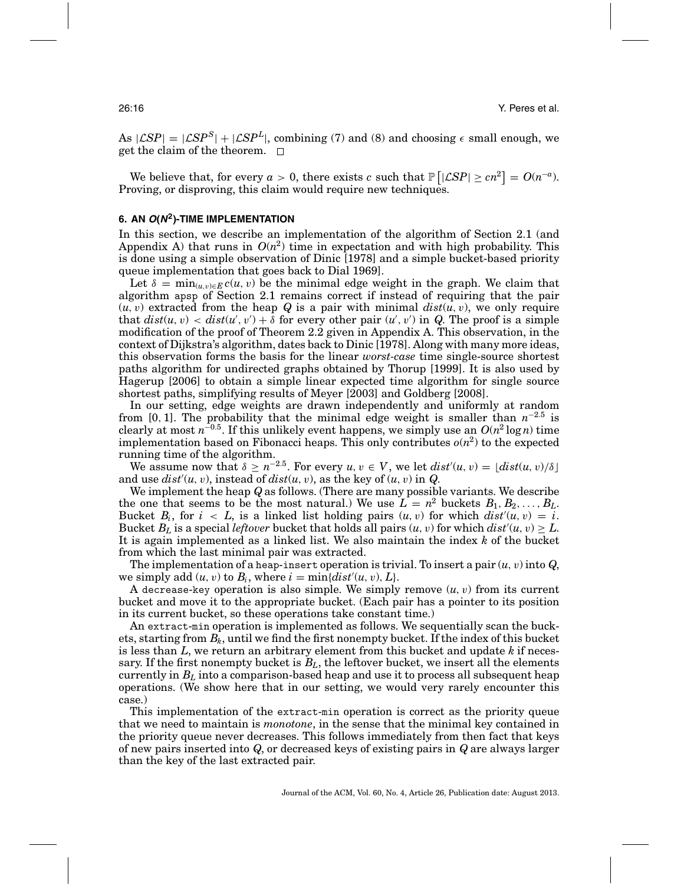As  $|\mathcal{L}SP| = |\mathcal{L}SP^S| + |\mathcal{L}SP^L|$ , combining (7) and (8) and choosing  $\epsilon$  small enough, we get the claim of the theorem.  $\square$ 

We believe that, for every  $a > 0$ , there exists *c* such that  $\mathbb{P} \left[ |\mathcal{L}SP| \geq cn^2 \right] = O(n^{-a}).$ Proving, or disproving, this claim would require new techniques.

## **6. AN <sup>O</sup>(N2)-TIME IMPLEMENTATION**

In this section, we describe an implementation of the algorithm of Section 2.1 (and Appendix A) that runs in  $O(n^2)$  time in expectation and with high probability. This is done using a simple observation of Dinic [1978] and a simple bucket-based priority queue implementation that goes back to Dial 1969].

Let  $\delta = \min_{(u,v)\in E} c(u,v)$  be the minimal edge weight in the graph. We claim that algorithm apsp of Section 2.1 remains correct if instead of requiring that the pair  $(u, v)$  extracted from the heap *Q* is a pair with minimal  $dist(u, v)$ , we only require that  $dist(u, v) < dist(u', v') + \delta$  for every other pair  $(u', v')$  in *Q*. The proof is a simple modification of the proof of Theorem 2.2 given in Appendix A. This observation, in the context of Dijkstra's algorithm, dates back to Dinic [1978]. Along with many more ideas, this observation forms the basis for the linear *worst-case* time single-source shortest paths algorithm for undirected graphs obtained by Thorup [1999]. It is also used by Hagerup [2006] to obtain a simple linear expected time algorithm for single source shortest paths, simplifying results of Meyer [2003] and Goldberg [2008].

In our setting, edge weights are drawn independently and uniformly at random from [0, 1]. The probability that the minimal edge weight is smaller than  $n^{-2.5}$  is clearly at most  $n^{-0.5}$ . If this unlikely event happens, we simply use an  $O(n^2 \log n)$  time implementation based on Fibonacci heaps. This only contributes  $o(n^2)$  to the expected running time of the algorithm.

We assume now that  $\delta \geq n^{-2.5}$ . For every  $u, v \in V$ , we let  $dist'(u, v) = \lfloor dist(u, v)/\delta \rfloor$ and use  $dist'(u, v)$ , instead of  $dist(u, v)$ , as the key of  $(u, v)$  in  $Q$ .

We implement the heap *Q* as follows. (There are many possible variants. We describe the one that seems to be the most natural.) We use  $L = n^2$  buckets  $B_1, B_2, \ldots, B_L$ . Bucket  $B_i$ , for  $i < L$ , is a linked list holding pairs  $(u, v)$  for which  $dist'(u, v) = i$ . Bucket  $B_L$  is a special *leftover* bucket that holds all pairs  $(u, v)$  for which  $dist'(u, v) \geq L$ . It is again implemented as a linked list. We also maintain the index *k* of the bucket from which the last minimal pair was extracted.

The implementation of a heap-insert operation is trivial. To insert a pair  $(u, v)$  into  $Q$ , we simply add  $(u, v)$  to  $B_i$ , where  $i = \min\{dist'(u, v), L\}$ .

A decrease-key operation is also simple. We simply remove  $(u, v)$  from its current bucket and move it to the appropriate bucket. (Each pair has a pointer to its position in its current bucket, so these operations take constant time.)

An extract-min operation is implemented as follows. We sequentially scan the buckets, starting from  $B_k$ , until we find the first nonempty bucket. If the index of this bucket is less than *L*, we return an arbitrary element from this bucket and update *k* if necessary. If the first nonempty bucket is  $B<sub>L</sub>$ , the leftover bucket, we insert all the elements currently in  $B_L$  into a comparison-based heap and use it to process all subsequent heap operations. (We show here that in our setting, we would very rarely encounter this case.)

This implementation of the extract-min operation is correct as the priority queue that we need to maintain is *monotone*, in the sense that the minimal key contained in the priority queue never decreases. This follows immediately from then fact that keys of new pairs inserted into *Q*, or decreased keys of existing pairs in *Q* are always larger than the key of the last extracted pair.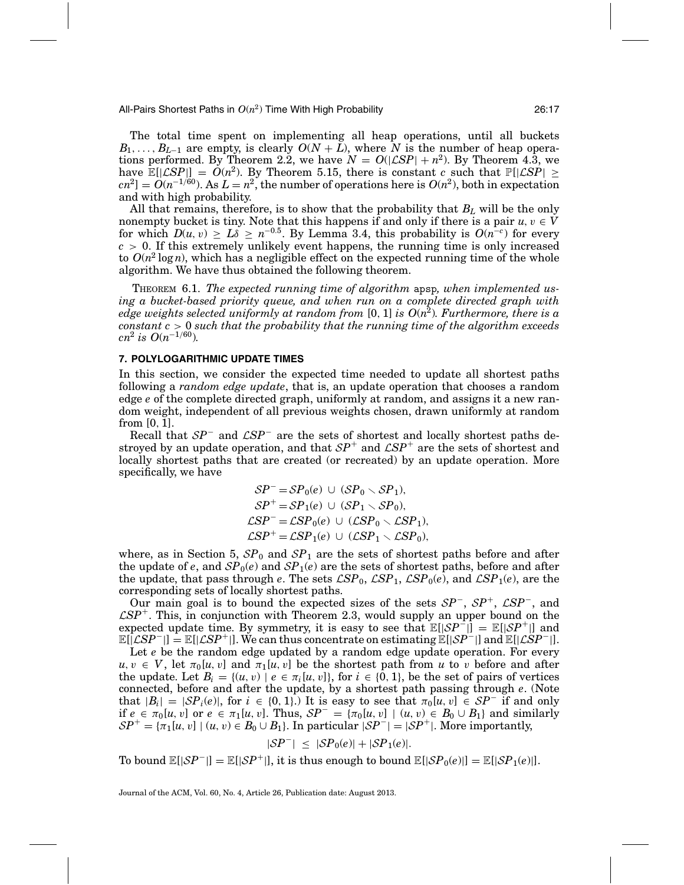All-Pairs Shortest Paths in  $O(n^2)$  Time With High Probability  $26:17$ 

The total time spent on implementing all heap operations, until all buckets  $B_1, \ldots, B_{L-1}$  are empty, is clearly  $O(N+L)$ , where *N* is the number of heap operations performed. By Theorem 2.2, we have  $N = O(|\mathcal{L}SP| + n^2)$ . By Theorem 4.3, we have  $\mathbb{E}[|\mathcal{L}SP|] = O(n^2)$ . By Theorem 5.15, there is constant *c* such that  $\mathbb{P}[|\mathcal{L}SP| \ge$  $cn^2$ ] =  $O(n^{-1/60})$ . As  $L = n^2$ , the number of operations here is  $O(n^2)$ , both in expectation and with high probability.

All that remains, therefore, is to show that the probability that *BL* will be the only nonempty bucket is tiny. Note that this happens if and only if there is a pair  $u, v \in V$ for which  $D(u, v) \geq L\delta \geq n^{-0.5}$ . By Lemma 3.4, this probability is  $O(n^{-c})$  for every  $c > 0$ . If this extremely unlikely event happens, the running time is only increased to  $O(n^2 \log n)$ , which has a negligible effect on the expected running time of the whole algorithm. We have thus obtained the following theorem.

THEOREM 6.1. *The expected running time of algorithm* apsp*, when implemented using a bucket-based priority queue, and when run on a complete directed graph with edge weights selected uniformly at random from* [0, 1] *is O*(*n*2)*. Furthermore, there is a constant c* > 0 *such that the probability that the running time of the algorithm exceeds*  $cn^2$  *is*  $O(n^{-1/60})$ .

#### **7. POLYLOGARITHMIC UPDATE TIMES**

In this section, we consider the expected time needed to update all shortest paths following a *random edge update*, that is, an update operation that chooses a random edge *e* of the complete directed graph, uniformly at random, and assigns it a new random weight, independent of all previous weights chosen, drawn uniformly at random from [0, 1].

Recall that <sup>S</sup>*P*<sup>−</sup> and <sup>L</sup>*SP*<sup>−</sup> are the sets of shortest and locally shortest paths destroyed by an update operation, and that  $SP^+$  and  $LSP^+$  are the sets of shortest and locally shortest paths that are created (or recreated) by an update operation. More specifically, we have

$$
SP^{-} = SP_{0}(e) \cup (SP_{0} \setminus SP_{1}),
$$
  
\n
$$
SP^{+} = SP_{1}(e) \cup (SP_{1} \setminus SP_{0}),
$$
  
\n
$$
CSP^{-} = CSP_{0}(e) \cup (CSP_{0} \setminus CSP_{1}),
$$
  
\n
$$
CSP^{+} = CSP_{1}(e) \cup (CSP_{1} \setminus CSP_{0}),
$$

where, as in Section 5,  $\mathcal{SP}_0$  and  $\mathcal{SP}_1$  are the sets of shortest paths before and after the update of *e*, and  $SP_0(e)$  and  $SP_1(e)$  are the sets of shortest paths, before and after the update, that pass through *e*. The sets  $\mathcal{LSP}_0$ ,  $\mathcal{LSP}_1$ ,  $\mathcal{LSP}_0(e)$ , and  $\mathcal{LSP}_1(e)$ , are the corresponding sets of locally shortest paths.

Our main goal is to bound the expected sizes of the sets <sup>S</sup>*P*<sup>−</sup>, <sup>S</sup>*P*<sup>+</sup>, <sup>L</sup>*SP*<sup>−</sup>, and  $\mathcal{L}SP<sup>+</sup>$ . This, in conjunction with Theorem 2.3, would supply an upper bound on the expected update time. By symmetry, it is easy to see that  $\mathbb{E}[|SP^-|] = \mathbb{E}[|SP^+|]$  and  $\mathbb{E}[|\mathcal{L}SP^-|] = \mathbb{E}[|\mathcal{L}SP^+|]$ . We can thus concentrate on estimating  $\mathbb{E}[|SP^-|]$  and  $\mathbb{E}[|\mathcal{L}SP^-|]$ .

Let *e* be the random edge updated by a random edge update operation. For every  $u, v \in V$ , let  $\pi_0[u, v]$  and  $\pi_1[u, v]$  be the shortest path from *u* to *v* before and after the update. Let  $B_i = \{(u, v) \mid e \in \pi_i[u, v]\}$ , for  $i \in \{0, 1\}$ , be the set of pairs of vertices connected, before and after the update, by a shortest path passing through *e*. (Note that  $|B_i| = |SP_i(e)|$ , for  $i \in \{0, 1\}$ .) It is easy to see that  $\pi_0[u, v] \in SP^-$  if and only if  $e \in \pi_0[u, v]$  or  $e \in \pi_1[u, v]$ . Thus,  $SP^- = \{\pi_0[u, v] \mid (u, v) \in B_0 \cup B_1\}$  and similarly  $SP^+ = \{\pi_1[u, v] \mid (u, v) \in B_0 \cup B_1\}$ . In particular  $|SP^-| = |SP^+|$ . More importantly,

$$
|\mathcal{S}P^-| \leq |\mathcal{S}P_0(e)| + |\mathcal{S}P_1(e)|.
$$

To bound  $\mathbb{E}[|SP^-|] = \mathbb{E}[|SP^+|]$ , it is thus enough to bound  $\mathbb{E}[|SP_0(e)|] = \mathbb{E}[|SP_1(e)|]$ .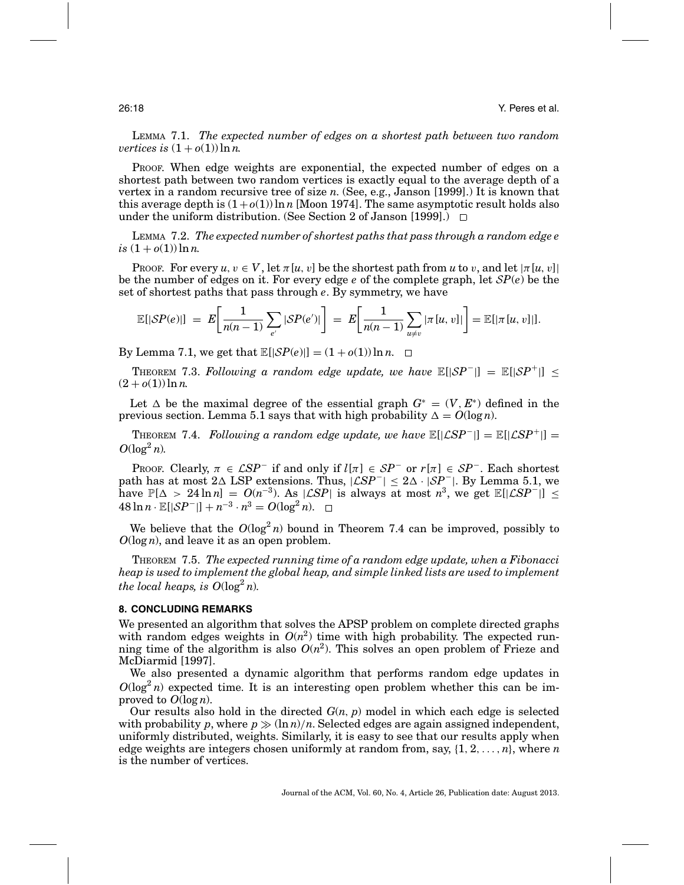LEMMA 7.1. *The expected number of edges on a shortest path between two random vertices is*  $(1 + o(1)) \ln n$ .

PROOF. When edge weights are exponential, the expected number of edges on a shortest path between two random vertices is exactly equal to the average depth of a vertex in a random recursive tree of size *n*. (See, e.g., Janson [1999].) It is known that this average depth is  $(1+o(1)) \ln n$  [Moon 1974]. The same asymptotic result holds also under the uniform distribution. (See Section 2 of Janson [1999].)  $\Box$ 

LEMMA 7.2. *The expected number of shortest paths that pass through a random edge e*  $is (1 + o(1)) \ln n$ .

**PROOF.** For every  $u, v \in V$ , let  $\pi[u, v]$  be the shortest path from  $u$  to  $v$ , and let  $|\pi[u, v]|$ be the number of edges on it. For every edge *e* of the complete graph, let S*P*(*e*) be the set of shortest paths that pass through *e*. By symmetry, we have

$$
\mathbb{E}[|SP(e)|] = E\bigg[\frac{1}{n(n-1)}\sum_{e'}|SP(e')|\bigg] = E\bigg[\frac{1}{n(n-1)}\sum_{u\neq v}|\pi[u,v]|\bigg] = \mathbb{E}[|\pi[u,v]||].
$$

By Lemma 7.1, we get that  $\mathbb{E}[|\mathcal{SP}(e)|] = (1 + o(1)) \ln n$ .  $\Box$ 

THEOREM 7.3. *Following a random edge update, we have*  $\mathbb{E}[|SP^-|] = \mathbb{E}[|SP^+|]$  <  $(2 + o(1)) \ln n$ .

Let  $\Delta$  be the maximal degree of the essential graph  $G^* = (V, E^*)$  defined in the previous section. Lemma 5.1 says that with high probability  $\Delta = O(\log n)$ .

**THEOREM** 7.4. *Following a random edge update, we have*  $\mathbb{E}[|\mathcal{L}SP^-|] = \mathbb{E}[|\mathcal{L}SP^+|] =$  $O(\log^2 n)$ .

PROOF. Clearly,  $\pi \in \mathcal{L}SP^-$  if and only if  $l[\pi] \in SP^-$  or  $r[\pi] \in SP^-$ . Each shortest path has at most  $2\Delta$  LSP extensions. Thus,  $|\mathcal{L}SP^{-}| \leq 2\Delta \cdot |\mathcal{S}P^{-}|$ . By Lemma 5.1, we have  $\mathbb{P}[\Delta > 24 \ln n] = O(n^{-3})$ . As  $|\mathcal{L}SP|$  is always at most  $n^3$ , we get  $\mathbb{E}[|\mathcal{L}SP^{-}|] \le$ 48 ln *n* ·  $\mathbb{E}[|SP^-|] + n^{-3} \cdot n^3 = O(\log^2 n)$ . □

We believe that the  $O(\log^2 n)$  bound in Theorem 7.4 can be improved, possibly to *O*(log *n*), and leave it as an open problem.

THEOREM 7.5. *The expected running time of a random edge update, when a Fibonacci heap is used to implement the global heap, and simple linked lists are used to implement the local heaps, is*  $O(\log^2 n)$ *.* 

# **8. CONCLUDING REMARKS**

We presented an algorithm that solves the APSP problem on complete directed graphs with random edges weights in  $O(n^2)$  time with high probability. The expected running time of the algorithm is also  $O(n^2)$ . This solves an open problem of Frieze and McDiarmid [1997].

We also presented a dynamic algorithm that performs random edge updates in  $O(\log^2 n)$  expected time. It is an interesting open problem whether this can be improved to  $O(\log n)$ .

Our results also hold in the directed  $G(n, p)$  model in which each edge is selected with probability p, where  $p \gg (\ln n)/n$ . Selected edges are again assigned independent, uniformly distributed, weights. Similarly, it is easy to see that our results apply when edge weights are integers chosen uniformly at random from, say, {1, 2,..., *n*}, where *n* is the number of vertices.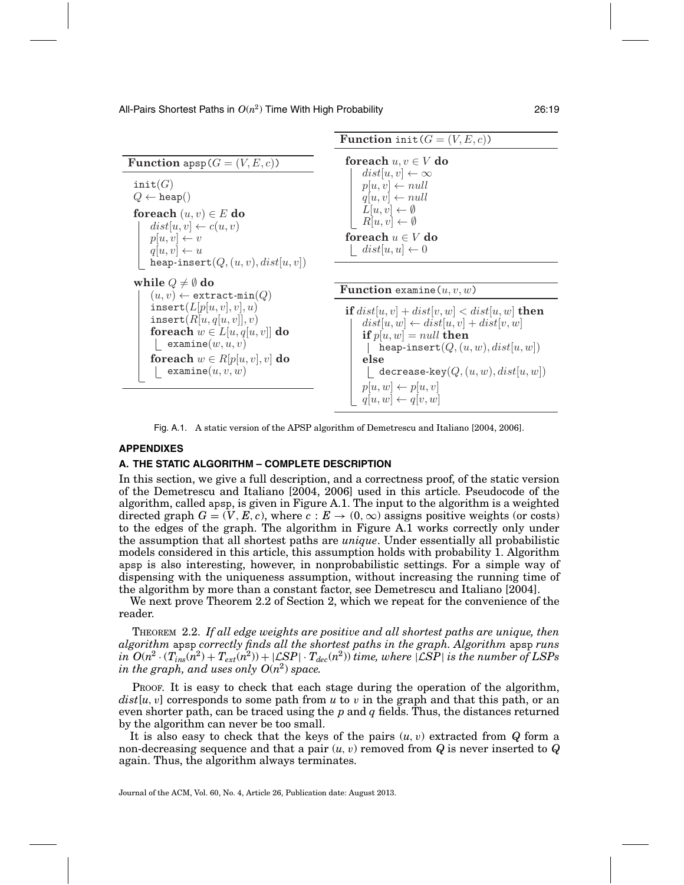

Fig. A.1. A static version of the APSP algorithm of Demetrescu and Italiano [2004, 2006].

# **APPENDIXES**

# **A. THE STATIC ALGORITHM – COMPLETE DESCRIPTION**

In this section, we give a full description, and a correctness proof, of the static version of the Demetrescu and Italiano [2004, 2006] used in this article. Pseudocode of the algorithm, called apsp, is given in Figure A.1. The input to the algorithm is a weighted directed graph  $G = (V, E, c)$ , where  $c : E \to (0, \infty)$  assigns positive weights (or costs) to the edges of the graph. The algorithm in Figure A.1 works correctly only under the assumption that all shortest paths are *unique*. Under essentially all probabilistic models considered in this article, this assumption holds with probability 1. Algorithm apsp is also interesting, however, in nonprobabilistic settings. For a simple way of dispensing with the uniqueness assumption, without increasing the running time of the algorithm by more than a constant factor, see Demetrescu and Italiano [2004].

We next prove Theorem 2.2 of Section 2, which we repeat for the convenience of the reader.

THEOREM 2.2. *If all edge weights are positive and all shortest paths are unique, then algorithm* apsp *correctly finds all the shortest paths in the graph. Algorithm* apsp *runs*  $\int$ *in*  $O(n^2 \cdot (T_{ins}(n^2) + T_{ext}(n^2)) + |\mathcal{L}SP| \cdot T_{dec}(n^2))$  *time, where*  $|\mathcal{L}SP|$  *is the number of LSPs in the graph, and uses only*  $O(n^2)$  *space.* 

PROOF. It is easy to check that each stage during the operation of the algorithm,  $dist[u, v]$  corresponds to some path from  $u$  to  $v$  in the graph and that this path, or an even shorter path, can be traced using the *p* and *q* fields. Thus, the distances returned by the algorithm can never be too small.

It is also easy to check that the keys of the pairs  $(u, v)$  extracted from  $Q$  form a non-decreasing sequence and that a pair  $(u, v)$  removed from  $Q$  is never inserted to  $Q$ again. Thus, the algorithm always terminates.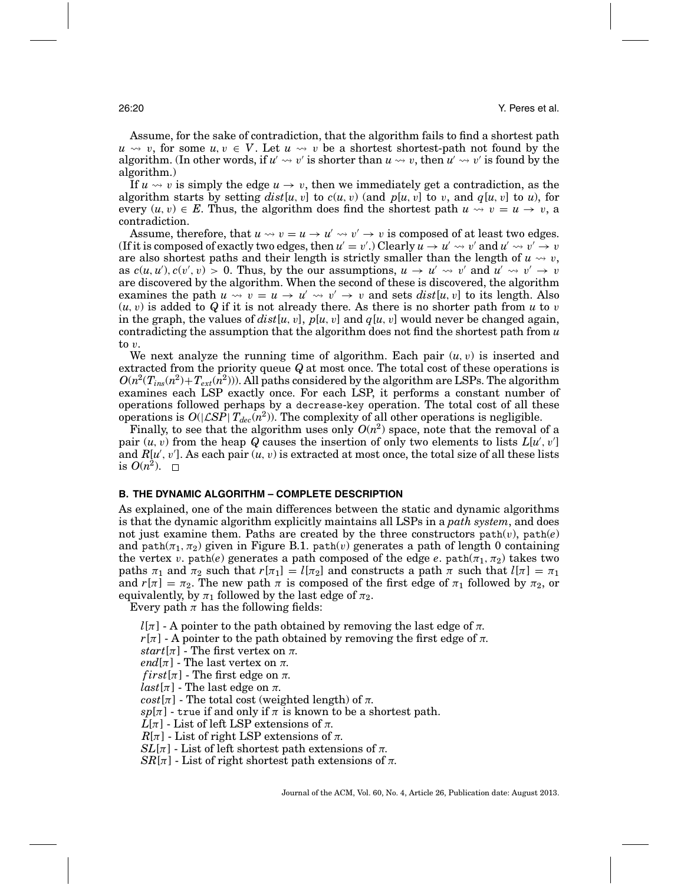Assume, for the sake of contradiction, that the algorithm fails to find a shortest path  $u \rightsquigarrow v$ , for some  $u, v \in V$ . Let  $u \rightsquigarrow v$  be a shortest shortest-path not found by the algorithm. (In other words, if  $u' \leadsto v'$  is shorter than  $u \leadsto v$ , then  $u' \leadsto v'$  is found by the algorithm.)

If  $u \leadsto v$  is simply the edge  $u \to v$ , then we immediately get a contradiction, as the algorithm starts by setting  $dist[u, v]$  to  $c(u, v)$  (and  $p[u, v]$  to v, and  $q[u, v]$  to u), for every  $(u, v) \in E$ . Thus, the algorithm does find the shortest path  $u \leadsto v = u \rightarrow v$ , a contradiction.

Assume, therefore, that  $u \leadsto v = u \rightarrow u' \leadsto v' \rightarrow v$  is composed of at least two edges. (If it is composed of exactly two edges, then  $u' = v'$  .) Clearly  $u \to u' \leadsto v'$  and  $u' \leadsto v' \to v$ are also shortest paths and their length is strictly smaller than the length of  $u \leadsto v,$ as  $c(u, u')$ ,  $c(v', v) > 0$ . Thus, by the our assumptions,  $u \to u' \leadsto v'$  and  $u' \leadsto v' \to v'$ are discovered by the algorithm. When the second of these is discovered, the algorithm examines the path  $u \leadsto v = u \rightarrow u' \leadsto v' \rightarrow v$  and sets  $dist[u, v]$  to its length. Also  $(u, v)$  is added to Q if it is not already there. As there is no shorter path from  $u$  to  $v$ in the graph, the values of  $dist[u, v]$ ,  $p[u, v]$  and  $q[u, v]$  would never be changed again, contradicting the assumption that the algorithm does not find the shortest path from *u* to v.

We next analyze the running time of algorithm. Each pair  $(u, v)$  is inserted and extracted from the priority queue *Q* at most once. The total cost of these operations is  $O(n^2(T_{ins}(n^2)+T_{ext}(n^2)))$ . All paths considered by the algorithm are LSPs. The algorithm examines each LSP exactly once. For each LSP, it performs a constant number of operations followed perhaps by a decrease-key operation. The total cost of all these operations is  $O(|\mathcal{LSP}| T_{dec}(n^2))$ . The complexity of all other operations is negligible.

Finally, to see that the algorithm uses only  $O(n^2)$  space, note that the removal of a pair  $(u, v)$  from the heap  $Q$  causes the insertion of only two elements to lists  $L[u', v']$ and  $R[u', v']$ . As each pair  $(u, v)$  is extracted at most once, the total size of all these lists is  $O(n^2)$ .  $\Box$ 

# **B. THE DYNAMIC ALGORITHM – COMPLETE DESCRIPTION**

As explained, one of the main differences between the static and dynamic algorithms is that the dynamic algorithm explicitly maintains all LSPs in a *path system*, and does not just examine them. Paths are created by the three constructors  $path(v)$ ,  $path(e)$ and path( $\pi_1, \pi_2$ ) given in Figure B.1. path(v) generates a path of length 0 containing the vertex v. path(*e*) generates a path composed of the edge *e*. path( $\pi_1$ ,  $\pi_2$ ) takes two paths  $\pi_1$  and  $\pi_2$  such that  $r[\pi_1] = l[\pi_2]$  and constructs a path  $\pi$  such that  $l[\pi] = \pi_1$ and  $r[\pi] = \pi_2$ . The new path  $\pi$  is composed of the first edge of  $\pi_1$  followed by  $\pi_2$ , or equivalently, by  $\pi_1$  followed by the last edge of  $\pi_2$ .

Every path  $\pi$  has the following fields:

 $l[\pi]$  - A pointer to the path obtained by removing the last edge of  $\pi$ .

 $r[\pi]$  - A pointer to the path obtained by removing the first edge of  $\pi$ .

*start*[ $\pi$ ] - The first vertex on  $\pi$ .

*end*[ $\pi$ ] - The last vertex on  $\pi$ .

 $first[\pi]$  - The first edge on  $\pi$ .

 $last[\pi]$  - The last edge on  $\pi$ .

 $cost[\pi]$  - The total cost (weighted length) of  $\pi$ .

 $sp[\pi]$  - true if and only if  $\pi$  is known to be a shortest path.

 $L[\pi]$  - List of left LSP extensions of  $\pi$ .

 $R[\pi]$  - List of right LSP extensions of  $\pi$ .

 $SL[\pi]$  - List of left shortest path extensions of  $\pi$ .

 $SR[\pi]$  - List of right shortest path extensions of  $\pi$ .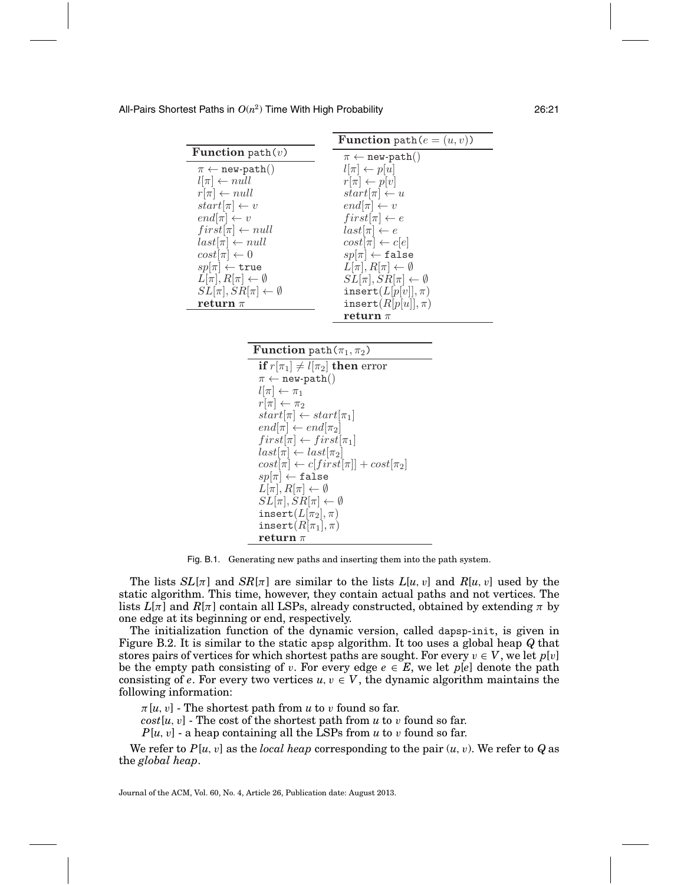|                                         | <b>Function</b> path $(e = (u, v))$     |
|-----------------------------------------|-----------------------------------------|
| <b>Function</b> path $(v)$              | $\pi \leftarrow$ new-path()             |
| $\pi \leftarrow \texttt{new-path}()$    | $l[\pi] \leftarrow p[u]$                |
| $l[\pi] \leftarrow null$                | $r[\pi] \leftarrow p[v]$                |
| $r[\pi] \leftarrow null$                | $start[\pi] \leftarrow u$               |
| $start[\pi] \leftarrow v$               | $end[\pi] \leftarrow v$                 |
| $end[\pi] \leftarrow v$                 | $first[\pi] \leftarrow e$               |
| $first[\pi] \leftarrow null$            | $last[\pi] \leftarrow e$                |
| $last[\pi] \leftarrow null$             | $cost[\pi] \leftarrow c[e]$             |
| $cost[\pi] \leftarrow 0$                | $sp[\pi] \leftarrow false$              |
| $sp[\pi] \leftarrow \texttt{true}$      | $L[\pi], R[\pi] \leftarrow \emptyset$   |
| $L[\pi], R[\pi] \leftarrow \emptyset$   | $SL[\pi], SR[\pi] \leftarrow \emptyset$ |
| $SL[\pi], SR[\pi] \leftarrow \emptyset$ | insert $(L[p[v]], \pi)$                 |
| return $\pi$                            | $\mathtt{insert}(R[p[u]], \pi)$         |
|                                         | return $\pi$                            |

**Function** path $(\pi_1, \pi_2)$ **if**  $r[\pi_1] \neq l[\pi_2]$  **then** error  $\pi \leftarrow \texttt{new-path}()$  $l[\pi] \leftarrow \pi_1$  $r[\pi] \leftarrow \pi_2$  $start[\pi] \leftarrow start[\pi_1]$  $end[\pi] \leftarrow end[\pi_2]$  $first[\pi] \leftarrow first[\pi_1]$  $last[\pi] \leftarrow last[\pi_2]$  $cost[\pi] \leftarrow c[first[\pi]] + cost[\pi_2]$  $sp[\pi] \leftarrow \mathtt{false}$  $L[\pi], R[\pi] \leftarrow \emptyset$  $SL[\pi], SR[\pi] \leftarrow \emptyset$  $\texttt{insert}(L[\pi_2], \pi)$  $\texttt{insert}(R[\pi_1], \pi)$ **return** π

Fig. B.1. Generating new paths and inserting them into the path system.

The lists  $SL[\pi]$  and  $SR[\pi]$  are similar to the lists  $L[u, v]$  and  $R[u, v]$  used by the static algorithm. This time, however, they contain actual paths and not vertices. The lists  $L[\pi]$  and  $R[\pi]$  contain all LSPs, already constructed, obtained by extending  $\pi$  by one edge at its beginning or end, respectively.

The initialization function of the dynamic version, called dapsp-init, is given in Figure B.2. It is similar to the static apsp algorithm. It too uses a global heap *Q* that stores pairs of vertices for which shortest paths are sought. For every  $v \in V$ , we let  $p[v]$ be the empty path consisting of v. For every edge  $e \in E$ , we let  $p[e]$  denote the path consisting of *e*. For every two vertices  $u, v \in V$ , the dynamic algorithm maintains the following information:

 $\pi[u, v]$  - The shortest path from *u* to *v* found so far.

 $cost[u, v]$  - The cost of the shortest path from *u* to *v* found so far.

*P*[*u*,v] - a heap containing all the LSPs from *u* to v found so far.

We refer to  $P[u, v]$  as the *local heap* corresponding to the pair  $(u, v)$ . We refer to  $Q$  as the *global heap*.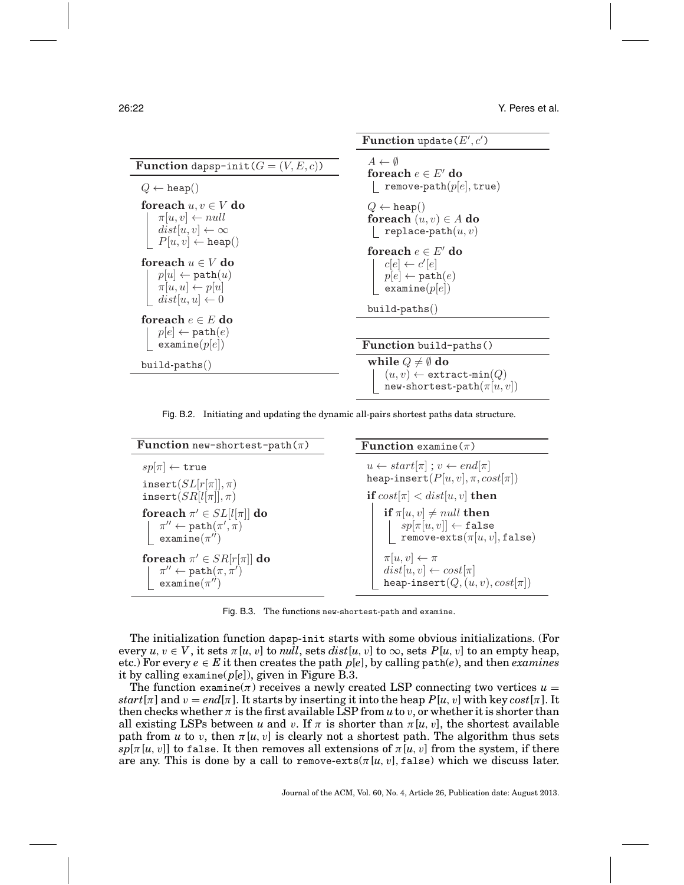**Function** update( $E', c'$ )

| <b>Function</b> dapsp-init( $G = (V, E, c)$ )                                                                          | $A \leftarrow \emptyset$<br>foreach $e \in E'$ do                                                      |
|------------------------------------------------------------------------------------------------------------------------|--------------------------------------------------------------------------------------------------------|
| $Q \leftarrow \text{heap}()$                                                                                           | remove-path $(p e ,$ true)                                                                             |
| foreach $u, v \in V$ do<br>$\pi[u, v] \leftarrow null$<br>$dist[u, v] \leftarrow \infty$                               | $Q \leftarrow \text{heap}()$<br>foreach $(u, v) \in A$ do<br>replace-path $(u, v)$                     |
| $P[u, v] \leftarrow \texttt{heap}()$                                                                                   | foreach $e \in E'$ do                                                                                  |
| foreach $u \in V$ do<br>$p u  \leftarrow \texttt{path}(u)$<br>$\pi[u, u] \leftarrow p[u]$<br>$dist[u, u] \leftarrow 0$ | $c[e] \leftarrow c'[e]$<br>$p[e] \leftarrow \texttt{path}(e)$<br>$\texttt{example}(p[e])$              |
|                                                                                                                        | $build-paths()$                                                                                        |
| foreach $e \in E$ do<br>$p[e] \leftarrow \texttt{path}(e)$                                                             |                                                                                                        |
| $\texttt{example}(p[e])$                                                                                               | <b>Function</b> build-paths()                                                                          |
| build-paths()                                                                                                          | while $Q \neq \emptyset$ do<br>$(u, v) \leftarrow$ extract-min $(Q)$<br>new-shortest-path $(\pi[u,v])$ |

Fig. B.2. Initiating and updating the dynamic all-pairs shortest paths data structure.

| <b>Function</b> new-shortest-path $(\pi)$                                                                         | <b>Function</b> examine $(\pi)$                                                                                                                                   |
|-------------------------------------------------------------------------------------------------------------------|-------------------------------------------------------------------------------------------------------------------------------------------------------------------|
| $sp[\pi] \leftarrow \texttt{true}$                                                                                | $u \leftarrow start[\pi]$ ; $v \leftarrow end[\pi]$                                                                                                               |
| insert $(SL[r[\pi]], \pi)$                                                                                        | heap-insert $(P[u, v], \pi, cost[\pi])$                                                                                                                           |
| insert $(SR[l[\pi]], \pi)$                                                                                        | if $cost[\pi] < dist[u, v]$ then                                                                                                                                  |
| foreach $\pi' \in SL[l \pi ]$ do<br>$\pi'' \leftarrow \texttt{path}(\pi', \pi)$<br>examine $(\pi^{\prime\prime})$ | if $\pi[u, v] \neq null$ then<br>$\begin{array}{ c c } \hline sp[\pi[u,v]] \leftarrow \mathtt{false} \ \texttt{remove-exts}(\pi[u,v],\mathtt{false}) \end{array}$ |
| foreach $\pi' \in SR[r[\pi]]$ do                                                                                  | $\pi[u,v] \leftarrow \pi$                                                                                                                                         |
| $\pi'' \leftarrow \text{path}(\pi, \pi')$                                                                         | $dist[u, v] \leftarrow cost[\pi]$                                                                                                                                 |
| $examine(\pi'')$                                                                                                  | heap-insert $(Q, (u, v), cost[\pi])$                                                                                                                              |

Fig. B.3. The functions new-shortest-path and examine.

The initialization function dapsp-init starts with some obvious initializations. (For every  $u, v \in V$ , it sets  $\pi[u, v]$  to *null*, sets *dist*[ $u, v$ ] to  $\infty$ , sets  $P[u, v]$  to an empty heap, etc.) For every  $e \in E$  it then creates the path  $p[e]$ , by calling path(*e*), and then *examines* it by calling examine(*p*[*e*]), given in Figure B.3.

The function examine( $\pi$ ) receives a newly created LSP connecting two vertices  $u =$ *start*[ $\pi$ ] and  $v = end[\pi]$ . It starts by inserting it into the heap  $P[u, v]$  with key *cost*[ $\pi$ ]. It then checks whether  $\pi$  is the first available LSP from  $u$  to  $v$ , or whether it is shorter than all existing LSPs between *u* and *v*. If  $\pi$  is shorter than  $\pi[u, v]$ , the shortest available path from *u* to *v*, then  $\pi[u, v]$  is clearly not a shortest path. The algorithm thus sets  $s p[\pi(u, v]]$  to false. It then removes all extensions of  $\pi(u, v]$  from the system, if there are any. This is done by a call to remove-exts( $\pi[u, v]$ , false) which we discuss later.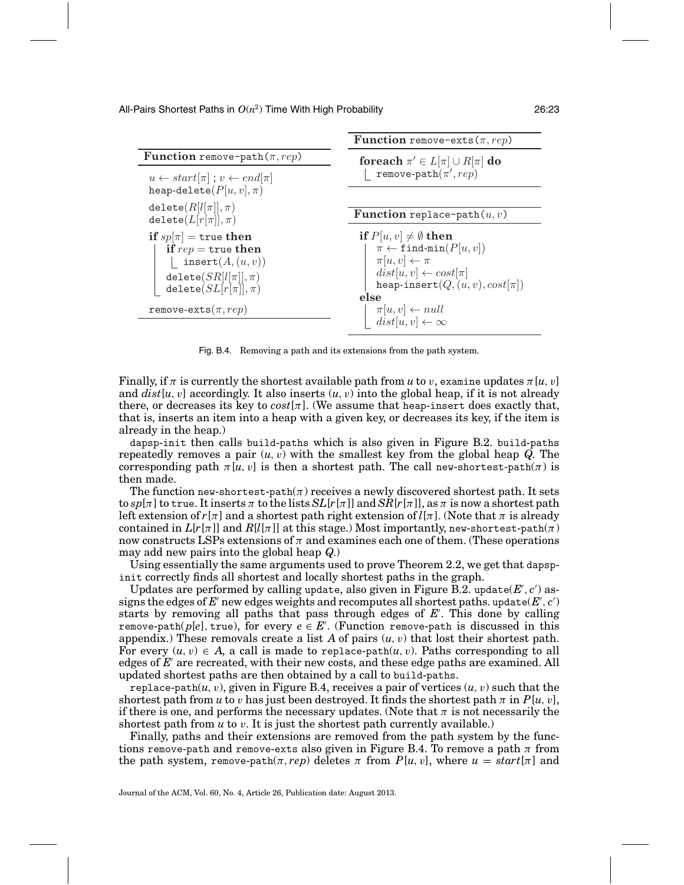**Function** remove-path $(\pi, rep)$ 

```
u \leftarrow start[\pi]; v \leftarrow end[\pi]heap-delete(P[u, v], \pi)\texttt{delete}(R[l[\pi]], \pi)\texttt{delete}(L[r[\pi]], \pi)if sp[\pi] = \text{true} then
if rep = true then
  | insert(A,(u,v))\texttt{delete}(\mathit{SR[l[\pi]],\pi})delete(SL[r[\pi]], \pi)remove-exts(\pi, rep)
```
**Function** remove-exts( $\pi$ , rep)

**foreach**  $\pi' \in L[\pi] \cup R[\pi]$  **do**  $\mathtt{remove-path}(\pi', rep)$ 

**Function** replace-path $(u, v)$ **if**  $P[u, v] \neq \emptyset$  **then**  $\pi \leftarrow \texttt{find-min}(P[u, v])$  $\pi[u, v] \leftarrow \pi$  $dist[u, v] \leftarrow cost[\pi]$ heap-insert $(Q, (u, v), cost[\pi])$ **else**  $\pi[u, v] \leftarrow null$  $dist[u, v] \leftarrow \infty$ 

Fig. B.4. Removing a path and its extensions from the path system.

Finally, if  $\pi$  is currently the shortest available path from *u* to *v*, examine updates  $\pi[u, v]$ and  $dist[u, v]$  accordingly. It also inserts  $(u, v)$  into the global heap, if it is not already there, or decreases its key to  $cost[\pi]$ . (We assume that heap-insert does exactly that, that is, inserts an item into a heap with a given key, or decreases its key, if the item is already in the heap.)

dapsp-init then calls build-paths which is also given in Figure B.2. build-paths repeatedly removes a pair  $(u, v)$  with the smallest key from the global heap  $Q$ . The corresponding path  $\pi[u, v]$  is then a shortest path. The call new-shortest-path( $\pi$ ) is then made.

The function new-shortest-path $(\pi)$  receives a newly discovered shortest path. It sets  $\frac{1}{\pi}$  to true. It inserts  $\pi$  to the lists  $SL[r[\pi]]$  and  $SR[r[\pi]]$ , as  $\pi$  is now a shortest path left extension of  $r[\pi]$  and a shortest path right extension of  $l[\pi]$ . (Note that  $\pi$  is already contained in  $L[r[\pi]]$  and  $R[l[\pi]]$  at this stage.) Most importantly, new-shortest-path( $\pi$ ) now constructs LSPs extensions of  $\pi$  and examines each one of them. (These operations may add new pairs into the global heap *Q*.)

Using essentially the same arguments used to prove Theorem 2.2, we get that dapspinit correctly finds all shortest and locally shortest paths in the graph.

Updates are performed by calling update, also given in Figure  $\mathrm{\bar{B}}.2$ . update(*E'*, *c'*) assigns the edges of  $E'$  new edges weights and recomputes all shortest paths. update( $E', c'$ ) starts by removing all paths that pass through edges of *E* . This done by calling remove-path( $p[e]$ , true), for every  $e \in E'$ . (Function remove-path is discussed in this appendix.) These removals create a list  $A$  of pairs  $(u, v)$  that lost their shortest path. For every  $(u, v) \in A$ , a call is made to replace-path $(u, v)$ . Paths corresponding to all edges of E<sup>'</sup> are recreated, with their new costs, and these edge paths are examined. All updated shortest paths are then obtained by a call to build-paths.

replace-path $(u, v)$ , given in Figure B.4, receives a pair of vertices  $(u, v)$  such that the shortest path from *u* to *v* has just been destroyed. It finds the shortest path  $\pi$  in  $P[u, v]$ , if there is one, and performs the necessary updates. (Note that  $\pi$  is not necessarily the shortest path from  $u$  to  $v$ . It is just the shortest path currently available.)

Finally, paths and their extensions are removed from the path system by the functions remove-path and remove-exts also given in Figure B.4. To remove a path  $\pi$  from the path system, remove-path $(\pi, rep)$  deletes  $\pi$  from  $P[u, v]$ , where  $u = start[\pi]$  and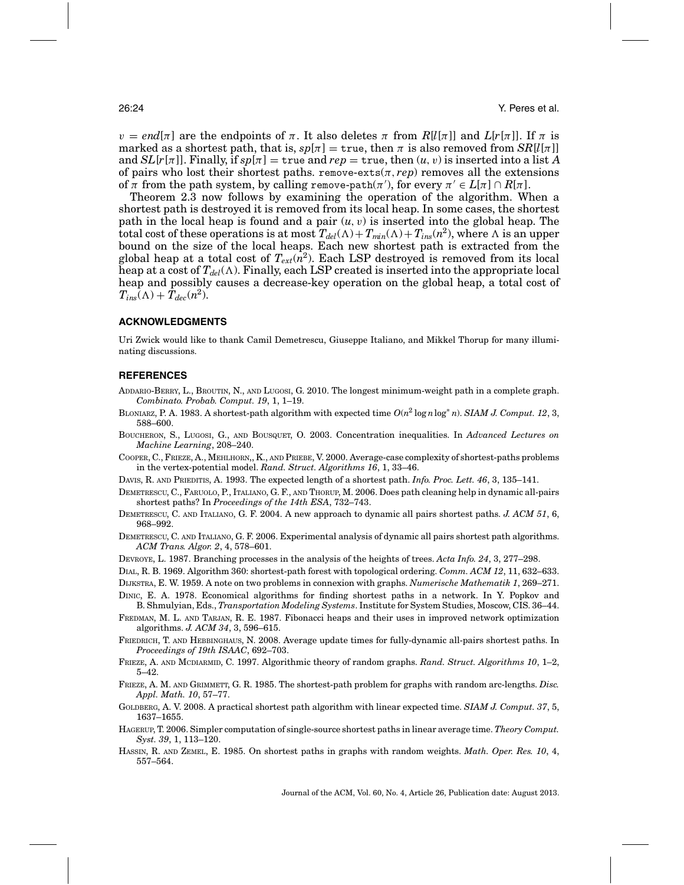$v = end[\pi]$  are the endpoints of  $\pi$ . It also deletes  $\pi$  from  $R[l[\pi]]$  and  $L[r[\pi]]$ . If  $\pi$  is marked as a shortest path, that is,  $sp[\pi] = \text{true}$ , then  $\pi$  is also removed from  $SR[l[\pi]]$ and  $SL[r[\pi]]$ . Finally, if  $sp[\pi] = \text{true}$  and  $rep = \text{true}$ , then  $(u, v)$  is inserted into a list A of pairs who lost their shortest paths. remove-exts $(\pi, rep)$  removes all the extensions of  $\pi$  from the path system, by calling remove-path( $\pi'$ ), for every  $\pi' \in L[\pi] \cap R[\pi]$ .

Theorem 2.3 now follows by examining the operation of the algorithm. When a shortest path is destroyed it is removed from its local heap. In some cases, the shortest path in the local heap is found and a pair  $(u, v)$  is inserted into the global heap. The total cost of these operations is at most  $T_{del}(\Lambda) + T_{min}(\Lambda) + T_{ins}(n^2)$ , where  $\Lambda$  is an upper bound on the size of the local heaps. Each new shortest path is extracted from the global heap at a total cost of  $T_{ext}(n^2)$ . Each LSP destroyed is removed from its local heap at a cost of  $T_{del}(\Lambda)$ . Finally, each LSP created is inserted into the appropriate local heap and possibly causes a decrease-key operation on the global heap, a total cost of  $T_{ins}(\Lambda) + T_{dec}(n^2)$ .

## **ACKNOWLEDGMENTS**

Uri Zwick would like to thank Camil Demetrescu, Giuseppe Italiano, and Mikkel Thorup for many illuminating discussions.

#### **REFERENCES**

- ADDARIO-BERRY, L., BROUTIN, N., AND LUGOSI, G. 2010. The longest minimum-weight path in a complete graph. *Combinato. Probab. Comput. 19*, 1, 1–19.
- BLONIARZ, P. A. 1983. A shortest-path algorithm with expected time  $O(n^2 \log n \log^* n)$ . *SIAM J. Comput. 12*, 3, 588–600.
- BOUCHERON, S., LUGOSI, G., AND BOUSQUET, O. 2003. Concentration inequalities. In *Advanced Lectures on Machine Learning*, 208–240.
- COOPER, C., FRIEZE, A., MEHLHORN,, K., AND PRIEBE, V. 2000. Average-case complexity of shortest-paths problems in the vertex-potential model. *Rand. Struct. Algorithms 16*, 1, 33–46.
- DAVIS, R. AND PRIEDITIS, A. 1993. The expected length of a shortest path. *Info. Proc. Lett. 46*, 3, 135–141.
- DEMETRESCU, C., FARUOLO, P., ITALIANO, G. F., AND THORUP, M. 2006. Does path cleaning help in dynamic all-pairs shortest paths? In *Proceedings of the 14th ESA*, 732–743.
- DEMETRESCU, C. AND ITALIANO, G. F. 2004. A new approach to dynamic all pairs shortest paths. *J. ACM 51*, 6, 968–992.
- DEMETRESCU, C. AND ITALIANO, G. F. 2006. Experimental analysis of dynamic all pairs shortest path algorithms. *ACM Trans. Algor. 2*, 4, 578–601.
- DEVROYE, L. 1987. Branching processes in the analysis of the heights of trees. *Acta Info. 24*, 3, 277–298.
- DIAL, R. B. 1969. Algorithm 360: shortest-path forest with topological ordering. *Comm. ACM 12*, 11, 632–633.
- DIJKSTRA, E. W. 1959. A note on two problems in connexion with graphs. *Numerische Mathematik 1*, 269–271.
- DINIC, E. A. 1978. Economical algorithms for finding shortest paths in a network. In Y. Popkov and B. Shmulyian, Eds., *Transportation Modeling Systems*. Institute for System Studies, Moscow, CIS. 36–44.
- FREDMAN, M. L. AND TARJAN, R. E. 1987. Fibonacci heaps and their uses in improved network optimization algorithms. *J. ACM 34*, 3, 596–615.
- FRIEDRICH, T. AND HEBBINGHAUS, N. 2008. Average update times for fully-dynamic all-pairs shortest paths. In *Proceedings of 19th ISAAC*, 692–703.
- FRIEZE, A. AND MCDIARMID, C. 1997. Algorithmic theory of random graphs. *Rand. Struct. Algorithms 10*, 1–2, 5–42.
- FRIEZE, A. M. AND GRIMMETT, G. R. 1985. The shortest-path problem for graphs with random arc-lengths. *Disc. Appl. Math. 10*, 57–77.
- GOLDBERG, A. V. 2008. A practical shortest path algorithm with linear expected time. *SIAM J. Comput. 37*, 5, 1637–1655.
- HAGERUP, T. 2006. Simpler computation of single-source shortest paths in linear average time. *Theory Comput. Syst. 39*, 1, 113–120.
- HASSIN, R. AND ZEMEL, E. 1985. On shortest paths in graphs with random weights. *Math. Oper. Res. 10*, 4, 557–564.